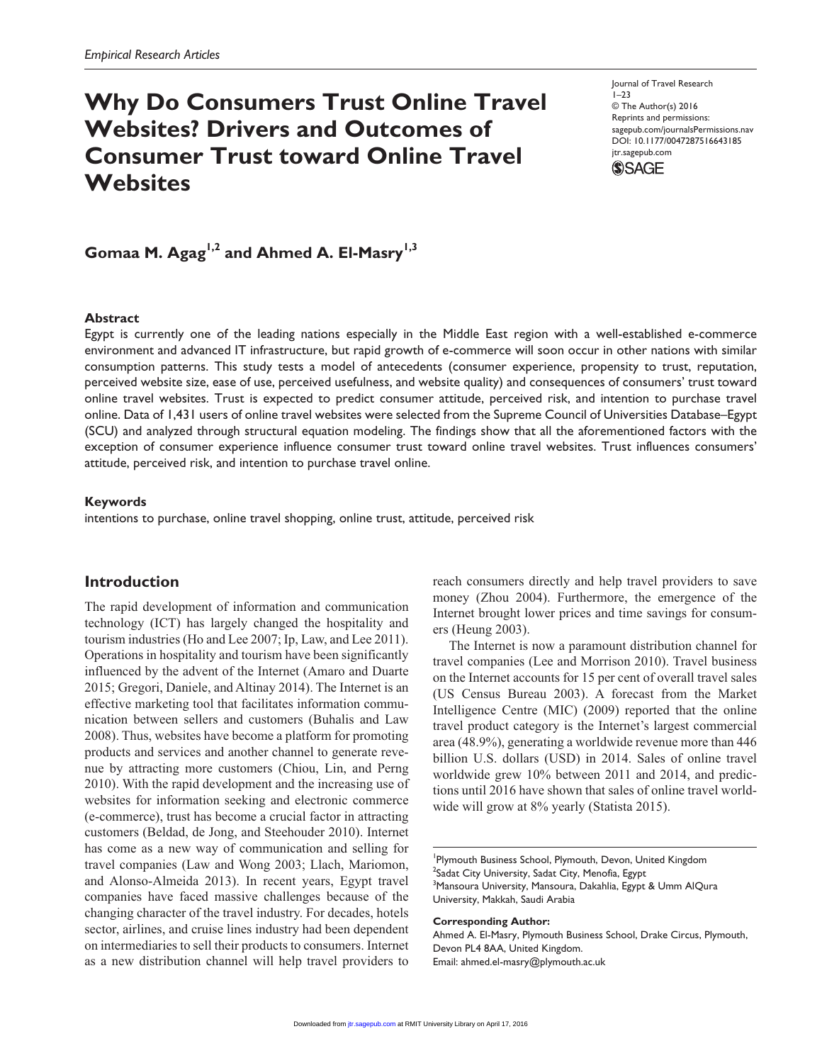# **Why Do Consumers Trust Online Travel Websites? Drivers and Outcomes of Consumer Trust toward Online Travel Websites**

Journal of Travel Research 1–23 © The Author(s) 2016 Reprints and permissions: sagepub.com/journalsPermissions.nav DOI: 10.1177/0047287516643185 jtr.sagepub.com



Gomaa M. Agag<sup>1,2</sup> and Ahmed A. El-Masry<sup>1,3</sup>

#### **Abstract**

Egypt is currently one of the leading nations especially in the Middle East region with a well-established e-commerce environment and advanced IT infrastructure, but rapid growth of e-commerce will soon occur in other nations with similar consumption patterns. This study tests a model of antecedents (consumer experience, propensity to trust, reputation, perceived website size, ease of use, perceived usefulness, and website quality) and consequences of consumers' trust toward online travel websites. Trust is expected to predict consumer attitude, perceived risk, and intention to purchase travel online. Data of 1,431 users of online travel websites were selected from the Supreme Council of Universities Database–Egypt (SCU) and analyzed through structural equation modeling. The findings show that all the aforementioned factors with the exception of consumer experience influence consumer trust toward online travel websites. Trust influences consumers' attitude, perceived risk, and intention to purchase travel online.

#### **Keywords**

intentions to purchase, online travel shopping, online trust, attitude, perceived risk

# **Introduction**

The rapid development of information and communication technology (ICT) has largely changed the hospitality and tourism industries (Ho and Lee 2007; Ip, Law, and Lee 2011). Operations in hospitality and tourism have been significantly influenced by the advent of the Internet (Amaro and Duarte 2015; Gregori, Daniele, and Altinay 2014). The Internet is an effective marketing tool that facilitates information communication between sellers and customers (Buhalis and Law 2008). Thus, websites have become a platform for promoting products and services and another channel to generate revenue by attracting more customers (Chiou, Lin, and Perng 2010). With the rapid development and the increasing use of websites for information seeking and electronic commerce (e-commerce), trust has become a crucial factor in attracting customers (Beldad, de Jong, and Steehouder 2010). Internet has come as a new way of communication and selling for travel companies (Law and Wong 2003; Llach, Mariomon, and Alonso-Almeida 2013). In recent years, Egypt travel companies have faced massive challenges because of the changing character of the travel industry. For decades, hotels sector, airlines, and cruise lines industry had been dependent on intermediaries to sell their products to consumers. Internet as a new distribution channel will help travel providers to

reach consumers directly and help travel providers to save money (Zhou 2004). Furthermore, the emergence of the Internet brought lower prices and time savings for consumers (Heung 2003).

The Internet is now a paramount distribution channel for travel companies (Lee and Morrison 2010). Travel business on the Internet accounts for 15 per cent of overall travel sales (US Census Bureau 2003). A forecast from the Market Intelligence Centre (MIC) (2009) reported that the online travel product category is the Internet's largest commercial area (48.9%), generating a worldwide revenue more than 446 billion U.S. dollars (USD) in 2014. Sales of online travel worldwide grew 10% between 2011 and 2014, and predictions until 2016 have shown that sales of online travel worldwide will grow at 8% yearly (Statista 2015).

<sup>1</sup>Plymouth Business School, Plymouth, Devon, United Kingdom  $^2$ Sadat City University, Sadat City, Menofia, Egypt <sup>3</sup>Mansoura University, Mansoura, Dakahlia, Egypt & Umm AlQura University, Makkah, Saudi Arabia

#### **Corresponding Author:**

Ahmed A. El-Masry, Plymouth Business School, Drake Circus, Plymouth, Devon PL4 8AA, United Kingdom. Email: ahmed.el-masry@plymouth.ac.uk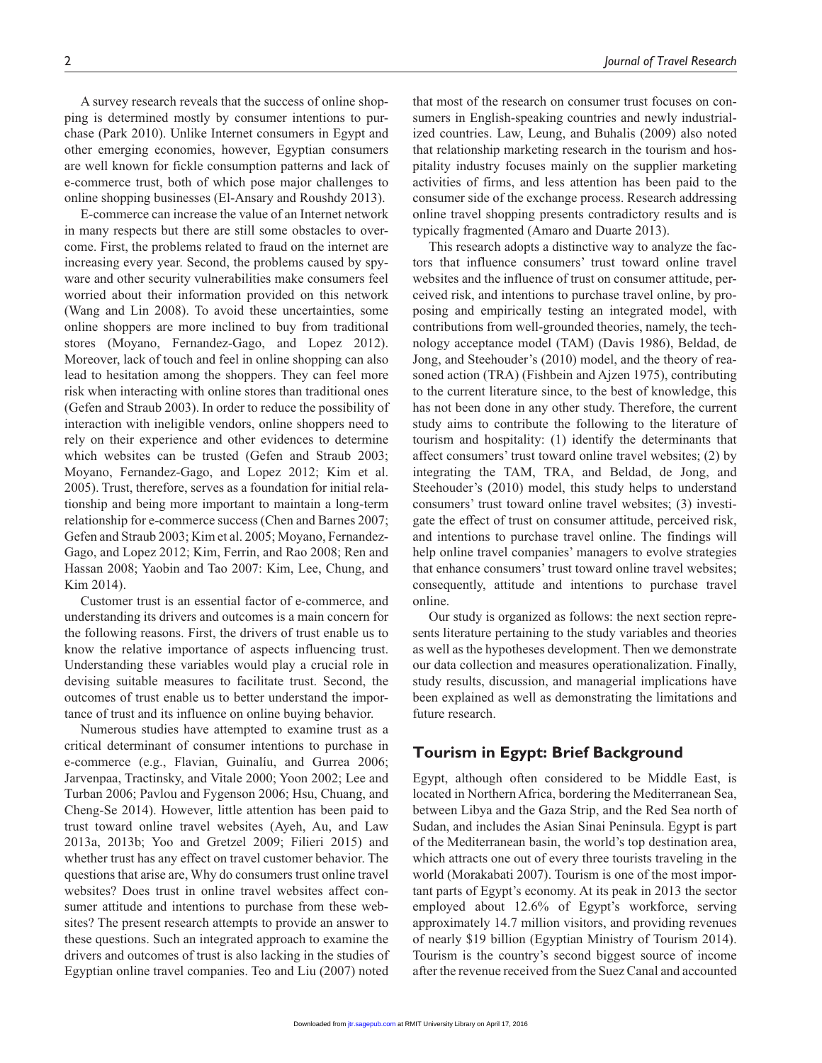A survey research reveals that the success of online shopping is determined mostly by consumer intentions to purchase (Park 2010). Unlike Internet consumers in Egypt and other emerging economies, however, Egyptian consumers are well known for fickle consumption patterns and lack of e-commerce trust, both of which pose major challenges to online shopping businesses (El-Ansary and Roushdy 2013).

E-commerce can increase the value of an Internet network in many respects but there are still some obstacles to overcome. First, the problems related to fraud on the internet are increasing every year. Second, the problems caused by spyware and other security vulnerabilities make consumers feel worried about their information provided on this network (Wang and Lin 2008). To avoid these uncertainties, some online shoppers are more inclined to buy from traditional stores (Moyano, Fernandez-Gago, and Lopez 2012). Moreover, lack of touch and feel in online shopping can also lead to hesitation among the shoppers. They can feel more risk when interacting with online stores than traditional ones (Gefen and Straub 2003). In order to reduce the possibility of interaction with ineligible vendors, online shoppers need to rely on their experience and other evidences to determine which websites can be trusted (Gefen and Straub 2003; Moyano, Fernandez-Gago, and Lopez 2012; Kim et al. 2005). Trust, therefore, serves as a foundation for initial relationship and being more important to maintain a long-term relationship for e-commerce success (Chen and Barnes 2007; Gefen and Straub 2003; Kim et al. 2005; Moyano, Fernandez-Gago, and Lopez 2012; Kim, Ferrin, and Rao 2008; Ren and Hassan 2008; Yaobin and Tao 2007: Kim, Lee, Chung, and Kim 2014).

Customer trust is an essential factor of e-commerce, and understanding its drivers and outcomes is a main concern for the following reasons. First, the drivers of trust enable us to know the relative importance of aspects influencing trust. Understanding these variables would play a crucial role in devising suitable measures to facilitate trust. Second, the outcomes of trust enable us to better understand the importance of trust and its influence on online buying behavior.

Numerous studies have attempted to examine trust as a critical determinant of consumer intentions to purchase in e-commerce (e.g., Flavian, Guinalíu, and Gurrea 2006; Jarvenpaa, Tractinsky, and Vitale 2000; Yoon 2002; Lee and Turban 2006; Pavlou and Fygenson 2006; Hsu, Chuang, and Cheng-Se 2014). However, little attention has been paid to trust toward online travel websites (Ayeh, Au, and Law 2013a, 2013b; Yoo and Gretzel 2009; Filieri 2015) and whether trust has any effect on travel customer behavior. The questions that arise are, Why do consumers trust online travel websites? Does trust in online travel websites affect consumer attitude and intentions to purchase from these websites? The present research attempts to provide an answer to these questions. Such an integrated approach to examine the drivers and outcomes of trust is also lacking in the studies of Egyptian online travel companies. Teo and Liu (2007) noted

that most of the research on consumer trust focuses on consumers in English-speaking countries and newly industrialized countries. Law, Leung, and Buhalis (2009) also noted that relationship marketing research in the tourism and hospitality industry focuses mainly on the supplier marketing activities of firms, and less attention has been paid to the consumer side of the exchange process. Research addressing online travel shopping presents contradictory results and is typically fragmented (Amaro and Duarte 2013).

This research adopts a distinctive way to analyze the factors that influence consumers' trust toward online travel websites and the influence of trust on consumer attitude, perceived risk, and intentions to purchase travel online, by proposing and empirically testing an integrated model, with contributions from well-grounded theories, namely, the technology acceptance model (TAM) (Davis 1986), Beldad, de Jong, and Steehouder's (2010) model, and the theory of reasoned action (TRA) (Fishbein and Ajzen 1975), contributing to the current literature since, to the best of knowledge, this has not been done in any other study. Therefore, the current study aims to contribute the following to the literature of tourism and hospitality: (1) identify the determinants that affect consumers' trust toward online travel websites; (2) by integrating the TAM, TRA, and Beldad, de Jong, and Steehouder's (2010) model, this study helps to understand consumers' trust toward online travel websites; (3) investigate the effect of trust on consumer attitude, perceived risk, and intentions to purchase travel online. The findings will help online travel companies' managers to evolve strategies that enhance consumers' trust toward online travel websites; consequently, attitude and intentions to purchase travel online.

Our study is organized as follows: the next section represents literature pertaining to the study variables and theories as well as the hypotheses development. Then we demonstrate our data collection and measures operationalization. Finally, study results, discussion, and managerial implications have been explained as well as demonstrating the limitations and future research.

# **Tourism in Egypt: Brief Background**

Egypt, although often considered to be Middle East, is located in Northern Africa, bordering the Mediterranean Sea, between Libya and the Gaza Strip, and the Red Sea north of Sudan, and includes the Asian Sinai Peninsula. Egypt is part of the Mediterranean basin, the world's top destination area, which attracts one out of every three tourists traveling in the world (Morakabati 2007). Tourism is one of the most important parts of Egypt's economy. At its peak in 2013 the sector employed about 12.6% of Egypt's workforce, serving approximately 14.7 million visitors, and providing revenues of nearly \$19 billion (Egyptian Ministry of Tourism 2014). Tourism is the country's second biggest source of income after the revenue received from the Suez Canal and accounted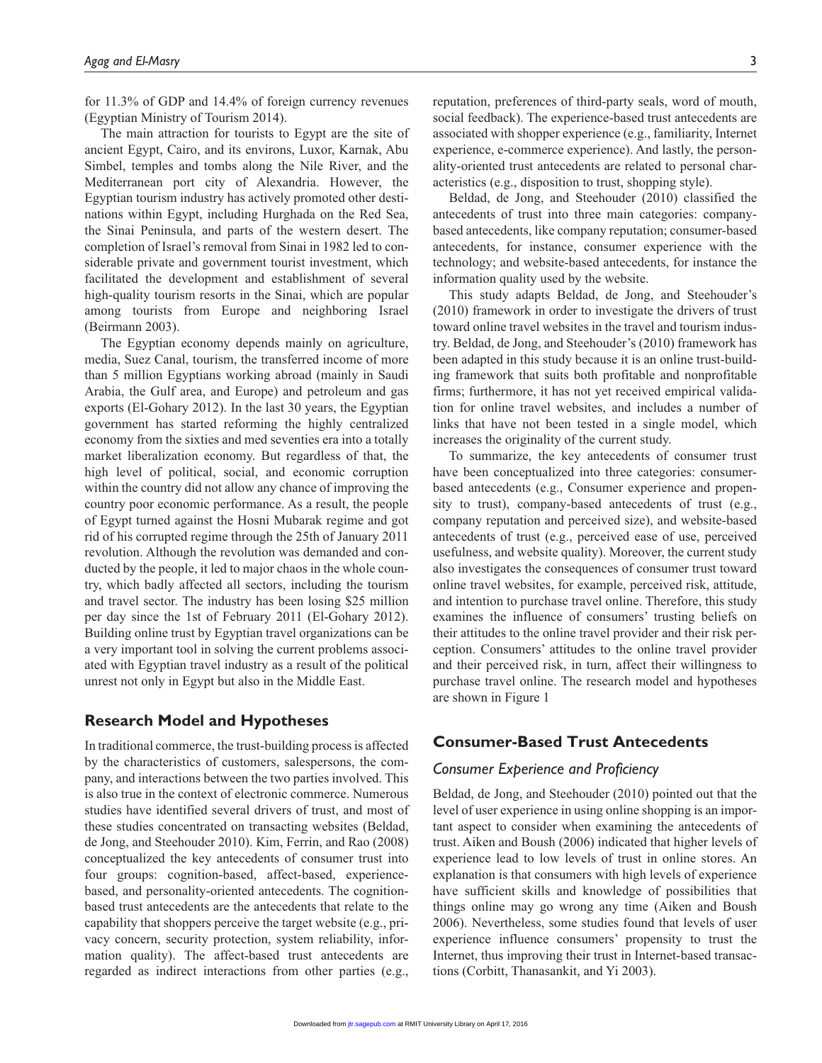for 11.3% of GDP and 14.4% of foreign currency revenues (Egyptian Ministry of Tourism 2014).

The main attraction for tourists to Egypt are the site of ancient Egypt, Cairo, and its environs, Luxor, Karnak, Abu Simbel, temples and tombs along the Nile River, and the Mediterranean port city of Alexandria. However, the Egyptian tourism industry has actively promoted other destinations within Egypt, including Hurghada on the Red Sea, the Sinai Peninsula, and parts of the western desert. The completion of Israel's removal from Sinai in 1982 led to considerable private and government tourist investment, which facilitated the development and establishment of several high-quality tourism resorts in the Sinai, which are popular among tourists from Europe and neighboring Israel (Beirmann 2003).

The Egyptian economy depends mainly on agriculture, media, Suez Canal, tourism, the transferred income of more than 5 million Egyptians working abroad (mainly in Saudi Arabia, the Gulf area, and Europe) and petroleum and gas exports (El-Gohary 2012). In the last 30 years, the Egyptian government has started reforming the highly centralized economy from the sixties and med seventies era into a totally market liberalization economy. But regardless of that, the high level of political, social, and economic corruption within the country did not allow any chance of improving the country poor economic performance. As a result, the people of Egypt turned against the Hosni Mubarak regime and got rid of his corrupted regime through the 25th of January 2011 revolution. Although the revolution was demanded and conducted by the people, it led to major chaos in the whole country, which badly affected all sectors, including the tourism and travel sector. The industry has been losing \$25 million per day since the 1st of February 2011 (El-Gohary 2012). Building online trust by Egyptian travel organizations can be a very important tool in solving the current problems associated with Egyptian travel industry as a result of the political unrest not only in Egypt but also in the Middle East.

# **Research Model and Hypotheses**

In traditional commerce, the trust-building process is affected by the characteristics of customers, salespersons, the company, and interactions between the two parties involved. This is also true in the context of electronic commerce. Numerous studies have identified several drivers of trust, and most of these studies concentrated on transacting websites (Beldad, de Jong, and Steehouder 2010). Kim, Ferrin, and Rao (2008) conceptualized the key antecedents of consumer trust into four groups: cognition-based, affect-based, experiencebased, and personality-oriented antecedents. The cognitionbased trust antecedents are the antecedents that relate to the capability that shoppers perceive the target website (e.g., privacy concern, security protection, system reliability, information quality). The affect-based trust antecedents are regarded as indirect interactions from other parties (e.g.,

reputation, preferences of third-party seals, word of mouth, social feedback). The experience-based trust antecedents are associated with shopper experience (e.g., familiarity, Internet experience, e-commerce experience). And lastly, the personality-oriented trust antecedents are related to personal characteristics (e.g., disposition to trust, shopping style).

Beldad, de Jong, and Steehouder (2010) classified the antecedents of trust into three main categories: companybased antecedents, like company reputation; consumer-based antecedents, for instance, consumer experience with the technology; and website-based antecedents, for instance the information quality used by the website.

This study adapts Beldad, de Jong, and Steehouder's (2010) framework in order to investigate the drivers of trust toward online travel websites in the travel and tourism industry. Beldad, de Jong, and Steehouder's (2010) framework has been adapted in this study because it is an online trust-building framework that suits both profitable and nonprofitable firms; furthermore, it has not yet received empirical validation for online travel websites, and includes a number of links that have not been tested in a single model, which increases the originality of the current study.

To summarize, the key antecedents of consumer trust have been conceptualized into three categories: consumerbased antecedents (e.g., Consumer experience and propensity to trust), company-based antecedents of trust (e.g., company reputation and perceived size), and website-based antecedents of trust (e.g., perceived ease of use, perceived usefulness, and website quality). Moreover, the current study also investigates the consequences of consumer trust toward online travel websites, for example, perceived risk, attitude, and intention to purchase travel online. Therefore, this study examines the influence of consumers' trusting beliefs on their attitudes to the online travel provider and their risk perception. Consumers' attitudes to the online travel provider and their perceived risk, in turn, affect their willingness to purchase travel online. The research model and hypotheses are shown in Figure 1

# **Consumer-Based Trust Antecedents**

# *Consumer Experience and Proficiency*

Beldad, de Jong, and Steehouder (2010) pointed out that the level of user experience in using online shopping is an important aspect to consider when examining the antecedents of trust. Aiken and Boush (2006) indicated that higher levels of experience lead to low levels of trust in online stores. An explanation is that consumers with high levels of experience have sufficient skills and knowledge of possibilities that things online may go wrong any time (Aiken and Boush 2006). Nevertheless, some studies found that levels of user experience influence consumers' propensity to trust the Internet, thus improving their trust in Internet-based transactions (Corbitt, Thanasankit, and Yi 2003).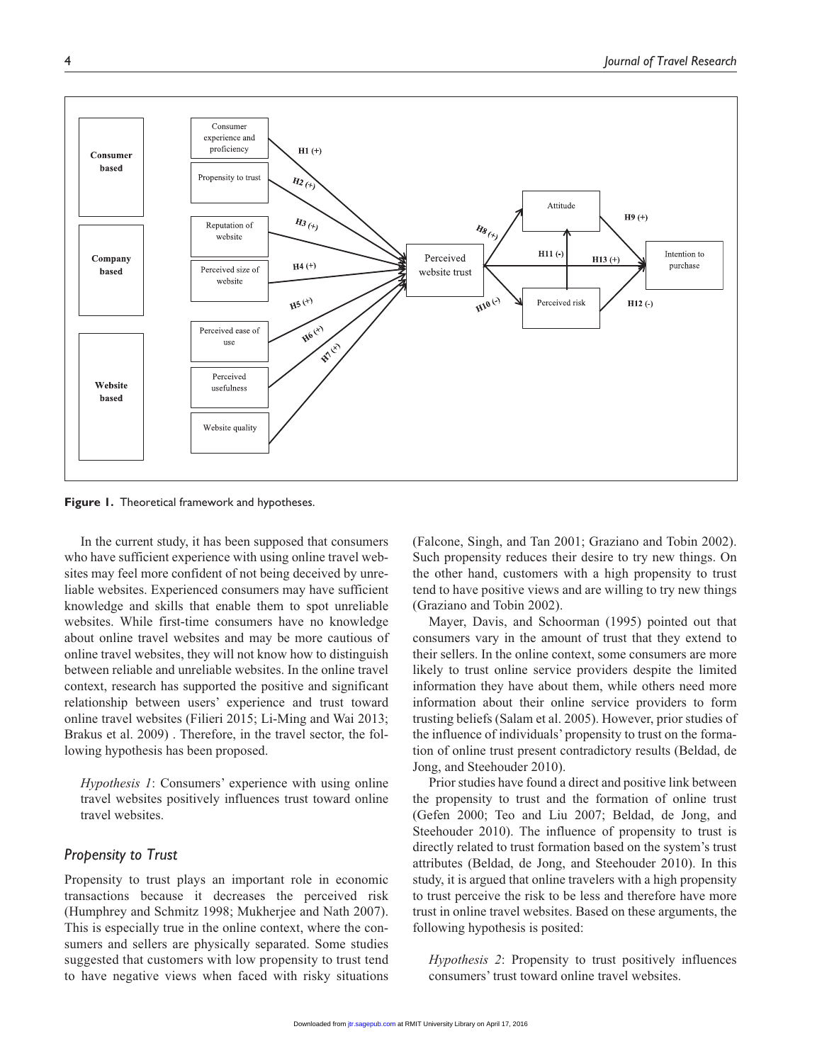

**Figure 1.** Theoretical framework and hypotheses.

In the current study, it has been supposed that consumers who have sufficient experience with using online travel websites may feel more confident of not being deceived by unreliable websites. Experienced consumers may have sufficient knowledge and skills that enable them to spot unreliable websites. While first-time consumers have no knowledge about online travel websites and may be more cautious of online travel websites, they will not know how to distinguish between reliable and unreliable websites. In the online travel context, research has supported the positive and significant relationship between users' experience and trust toward online travel websites (Filieri 2015; Li-Ming and Wai 2013; Brakus et al. 2009) . Therefore, in the travel sector, the following hypothesis has been proposed.

*Hypothesis 1*: Consumers' experience with using online travel websites positively influences trust toward online travel websites.

#### *Propensity to Trust*

Propensity to trust plays an important role in economic transactions because it decreases the perceived risk (Humphrey and Schmitz 1998; Mukherjee and Nath 2007). This is especially true in the online context, where the consumers and sellers are physically separated. Some studies suggested that customers with low propensity to trust tend to have negative views when faced with risky situations

(Falcone, Singh, and Tan 2001; Graziano and Tobin 2002). Such propensity reduces their desire to try new things. On the other hand, customers with a high propensity to trust tend to have positive views and are willing to try new things (Graziano and Tobin 2002).

Mayer, Davis, and Schoorman (1995) pointed out that consumers vary in the amount of trust that they extend to their sellers. In the online context, some consumers are more likely to trust online service providers despite the limited information they have about them, while others need more information about their online service providers to form trusting beliefs (Salam et al. 2005). However, prior studies of the influence of individuals' propensity to trust on the formation of online trust present contradictory results (Beldad, de Jong, and Steehouder 2010).

Prior studies have found a direct and positive link between the propensity to trust and the formation of online trust (Gefen 2000; Teo and Liu 2007; Beldad, de Jong, and Steehouder 2010). The influence of propensity to trust is directly related to trust formation based on the system's trust attributes (Beldad, de Jong, and Steehouder 2010). In this study, it is argued that online travelers with a high propensity to trust perceive the risk to be less and therefore have more trust in online travel websites. Based on these arguments, the following hypothesis is posited:

*Hypothesis 2*: Propensity to trust positively influences consumers' trust toward online travel websites.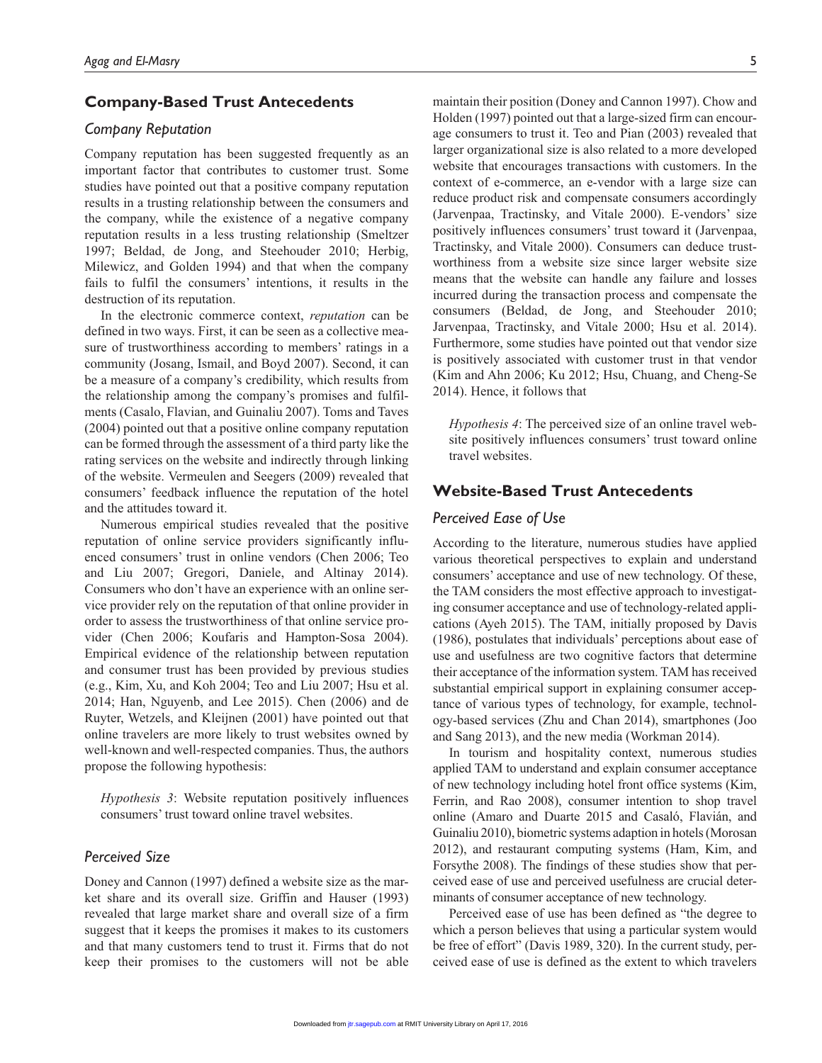# **Company-Based Trust Antecedents**

#### *Company Reputation*

Company reputation has been suggested frequently as an important factor that contributes to customer trust. Some studies have pointed out that a positive company reputation results in a trusting relationship between the consumers and the company, while the existence of a negative company reputation results in a less trusting relationship (Smeltzer 1997; Beldad, de Jong, and Steehouder 2010; Herbig, Milewicz, and Golden 1994) and that when the company fails to fulfil the consumers' intentions, it results in the destruction of its reputation.

In the electronic commerce context, *reputation* can be defined in two ways. First, it can be seen as a collective measure of trustworthiness according to members' ratings in a community (Josang, Ismail, and Boyd 2007). Second, it can be a measure of a company's credibility, which results from the relationship among the company's promises and fulfilments (Casalo, Flavian, and Guinaliu 2007). Toms and Taves (2004) pointed out that a positive online company reputation can be formed through the assessment of a third party like the rating services on the website and indirectly through linking of the website. Vermeulen and Seegers (2009) revealed that consumers' feedback influence the reputation of the hotel and the attitudes toward it.

Numerous empirical studies revealed that the positive reputation of online service providers significantly influenced consumers' trust in online vendors (Chen 2006; Teo and Liu 2007; Gregori, Daniele, and Altinay 2014). Consumers who don't have an experience with an online service provider rely on the reputation of that online provider in order to assess the trustworthiness of that online service provider (Chen 2006; Koufaris and Hampton-Sosa 2004). Empirical evidence of the relationship between reputation and consumer trust has been provided by previous studies (e.g., Kim, Xu, and Koh 2004; Teo and Liu 2007; Hsu et al. 2014; Han, Nguyenb, and Lee 2015). Chen (2006) and de Ruyter, Wetzels, and Kleijnen (2001) have pointed out that online travelers are more likely to trust websites owned by well-known and well-respected companies. Thus, the authors propose the following hypothesis:

*Hypothesis 3*: Website reputation positively influences consumers' trust toward online travel websites.

# *Perceived Size*

Doney and Cannon (1997) defined a website size as the market share and its overall size. Griffin and Hauser (1993) revealed that large market share and overall size of a firm suggest that it keeps the promises it makes to its customers and that many customers tend to trust it. Firms that do not keep their promises to the customers will not be able maintain their position (Doney and Cannon 1997). Chow and Holden (1997) pointed out that a large-sized firm can encourage consumers to trust it. Teo and Pian (2003) revealed that larger organizational size is also related to a more developed website that encourages transactions with customers. In the context of e-commerce, an e-vendor with a large size can reduce product risk and compensate consumers accordingly (Jarvenpaa, Tractinsky, and Vitale 2000). E-vendors' size positively influences consumers' trust toward it (Jarvenpaa, Tractinsky, and Vitale 2000). Consumers can deduce trustworthiness from a website size since larger website size means that the website can handle any failure and losses incurred during the transaction process and compensate the consumers (Beldad, de Jong, and Steehouder 2010; Jarvenpaa, Tractinsky, and Vitale 2000; Hsu et al. 2014). Furthermore, some studies have pointed out that vendor size is positively associated with customer trust in that vendor (Kim and Ahn 2006; Ku 2012; Hsu, Chuang, and Cheng-Se 2014). Hence, it follows that

*Hypothesis 4*: The perceived size of an online travel website positively influences consumers' trust toward online travel websites.

#### **Website-Based Trust Antecedents**

#### *Perceived Ease of Use*

According to the literature, numerous studies have applied various theoretical perspectives to explain and understand consumers' acceptance and use of new technology. Of these, the TAM considers the most effective approach to investigating consumer acceptance and use of technology-related applications (Ayeh 2015). The TAM, initially proposed by Davis (1986), postulates that individuals' perceptions about ease of use and usefulness are two cognitive factors that determine their acceptance of the information system. TAM has received substantial empirical support in explaining consumer acceptance of various types of technology, for example, technology-based services (Zhu and Chan 2014), smartphones (Joo and Sang 2013), and the new media (Workman 2014).

In tourism and hospitality context, numerous studies applied TAM to understand and explain consumer acceptance of new technology including hotel front office systems (Kim, Ferrin, and Rao 2008), consumer intention to shop travel online (Amaro and Duarte 2015 and Casaló, Flavián, and Guinaliu 2010), biometric systems adaption in hotels (Morosan 2012), and restaurant computing systems (Ham, Kim, and Forsythe 2008). The findings of these studies show that perceived ease of use and perceived usefulness are crucial determinants of consumer acceptance of new technology.

Perceived ease of use has been defined as "the degree to which a person believes that using a particular system would be free of effort" (Davis 1989, 320). In the current study, perceived ease of use is defined as the extent to which travelers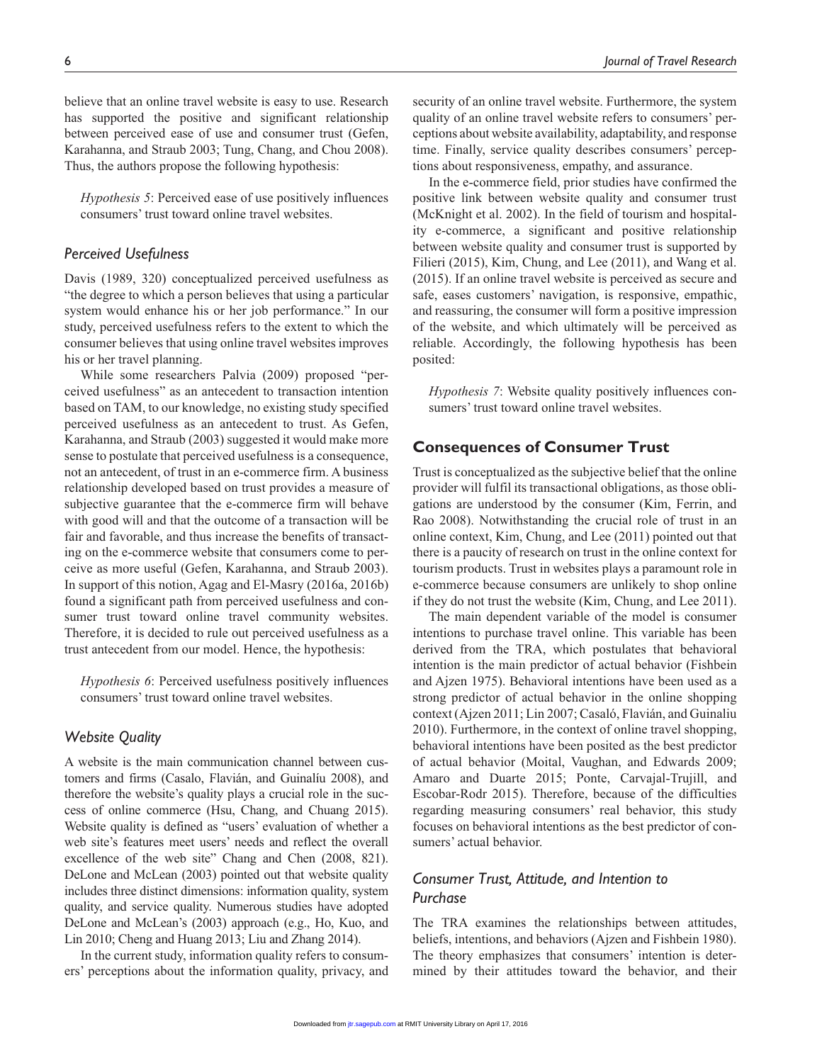believe that an online travel website is easy to use. Research has supported the positive and significant relationship between perceived ease of use and consumer trust (Gefen, Karahanna, and Straub 2003; Tung, Chang, and Chou 2008). Thus, the authors propose the following hypothesis:

*Hypothesis 5*: Perceived ease of use positively influences consumers' trust toward online travel websites.

# *Perceived Usefulness*

Davis (1989, 320) conceptualized perceived usefulness as "the degree to which a person believes that using a particular system would enhance his or her job performance." In our study, perceived usefulness refers to the extent to which the consumer believes that using online travel websites improves his or her travel planning.

While some researchers Palvia (2009) proposed "perceived usefulness" as an antecedent to transaction intention based on TAM, to our knowledge, no existing study specified perceived usefulness as an antecedent to trust. As Gefen, Karahanna, and Straub (2003) suggested it would make more sense to postulate that perceived usefulness is a consequence, not an antecedent, of trust in an e-commerce firm. A business relationship developed based on trust provides a measure of subjective guarantee that the e-commerce firm will behave with good will and that the outcome of a transaction will be fair and favorable, and thus increase the benefits of transacting on the e-commerce website that consumers come to perceive as more useful (Gefen, Karahanna, and Straub 2003). In support of this notion, Agag and El-Masry (2016a, 2016b) found a significant path from perceived usefulness and consumer trust toward online travel community websites. Therefore, it is decided to rule out perceived usefulness as a trust antecedent from our model. Hence, the hypothesis:

*Hypothesis 6*: Perceived usefulness positively influences consumers' trust toward online travel websites.

# *Website Quality*

A website is the main communication channel between customers and firms (Casalo, Flavián, and Guinalíu 2008), and therefore the website's quality plays a crucial role in the success of online commerce (Hsu, Chang, and Chuang 2015). Website quality is defined as "users' evaluation of whether a web site's features meet users' needs and reflect the overall excellence of the web site" Chang and Chen (2008, 821). DeLone and McLean (2003) pointed out that website quality includes three distinct dimensions: information quality, system quality, and service quality. Numerous studies have adopted DeLone and McLean's (2003) approach (e.g., Ho, Kuo, and Lin 2010; Cheng and Huang 2013; Liu and Zhang 2014).

In the current study, information quality refers to consumers' perceptions about the information quality, privacy, and security of an online travel website. Furthermore, the system quality of an online travel website refers to consumers' perceptions about website availability, adaptability, and response time. Finally, service quality describes consumers' perceptions about responsiveness, empathy, and assurance.

In the e-commerce field, prior studies have confirmed the positive link between website quality and consumer trust (McKnight et al. 2002). In the field of tourism and hospitality e-commerce, a significant and positive relationship between website quality and consumer trust is supported by Filieri (2015), Kim, Chung, and Lee (2011), and Wang et al. (2015). If an online travel website is perceived as secure and safe, eases customers' navigation, is responsive, empathic, and reassuring, the consumer will form a positive impression of the website, and which ultimately will be perceived as reliable. Accordingly, the following hypothesis has been posited:

*Hypothesis 7*: Website quality positively influences consumers' trust toward online travel websites.

# **Consequences of Consumer Trust**

Trust is conceptualized as the subjective belief that the online provider will fulfil its transactional obligations, as those obligations are understood by the consumer (Kim, Ferrin, and Rao 2008). Notwithstanding the crucial role of trust in an online context, Kim, Chung, and Lee (2011) pointed out that there is a paucity of research on trust in the online context for tourism products. Trust in websites plays a paramount role in e-commerce because consumers are unlikely to shop online if they do not trust the website (Kim, Chung, and Lee 2011).

The main dependent variable of the model is consumer intentions to purchase travel online. This variable has been derived from the TRA, which postulates that behavioral intention is the main predictor of actual behavior (Fishbein and Ajzen 1975). Behavioral intentions have been used as a strong predictor of actual behavior in the online shopping context (Ajzen 2011; Lin 2007; Casaló, Flavián, and Guinaliu 2010). Furthermore, in the context of online travel shopping, behavioral intentions have been posited as the best predictor of actual behavior (Moital, Vaughan, and Edwards 2009; Amaro and Duarte 2015; Ponte, Carvajal-Trujill, and Escobar-Rodr 2015). Therefore, because of the difficulties regarding measuring consumers' real behavior, this study focuses on behavioral intentions as the best predictor of consumers' actual behavior.

# *Consumer Trust, Attitude, and Intention to Purchase*

The TRA examines the relationships between attitudes, beliefs, intentions, and behaviors (Ajzen and Fishbein 1980). The theory emphasizes that consumers' intention is determined by their attitudes toward the behavior, and their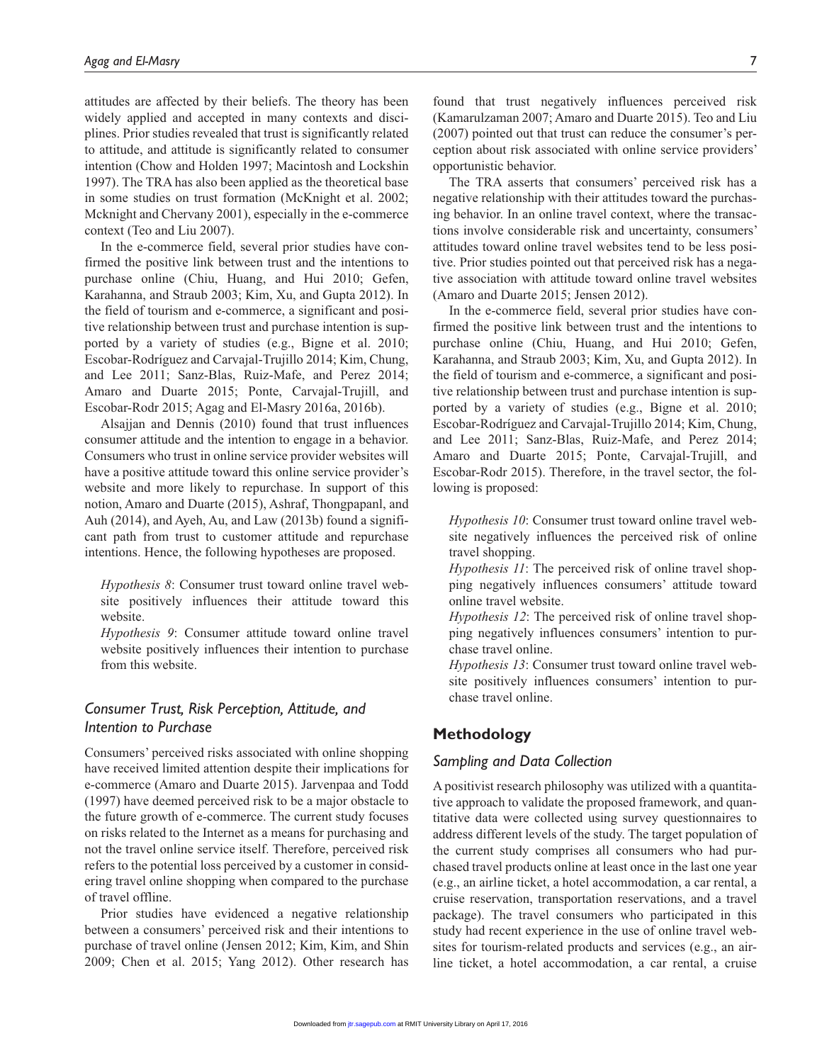attitudes are affected by their beliefs. The theory has been widely applied and accepted in many contexts and disciplines. Prior studies revealed that trust is significantly related to attitude, and attitude is significantly related to consumer intention (Chow and Holden 1997; Macintosh and Lockshin 1997). The TRA has also been applied as the theoretical base in some studies on trust formation (McKnight et al. 2002; Mcknight and Chervany 2001), especially in the e-commerce context (Teo and Liu 2007).

In the e-commerce field, several prior studies have confirmed the positive link between trust and the intentions to purchase online (Chiu, Huang, and Hui 2010; Gefen, Karahanna, and Straub 2003; Kim, Xu, and Gupta 2012). In the field of tourism and e-commerce, a significant and positive relationship between trust and purchase intention is supported by a variety of studies (e.g., Bigne et al. 2010; Escobar-Rodríguez and Carvajal-Trujillo 2014; Kim, Chung, and Lee 2011; Sanz-Blas, Ruiz-Mafe, and Perez 2014; Amaro and Duarte 2015; Ponte, Carvajal-Trujill, and Escobar-Rodr 2015; Agag and El-Masry 2016a, 2016b).

Alsajjan and Dennis (2010) found that trust influences consumer attitude and the intention to engage in a behavior. Consumers who trust in online service provider websites will have a positive attitude toward this online service provider's website and more likely to repurchase. In support of this notion, Amaro and Duarte (2015), Ashraf, Thongpapanl, and Auh (2014), and Ayeh, Au, and Law (2013b) found a significant path from trust to customer attitude and repurchase intentions. Hence, the following hypotheses are proposed.

*Hypothesis 8*: Consumer trust toward online travel website positively influences their attitude toward this website.

*Hypothesis 9*: Consumer attitude toward online travel website positively influences their intention to purchase from this website.

# *Consumer Trust, Risk Perception, Attitude, and Intention to Purchase*

Consumers' perceived risks associated with online shopping have received limited attention despite their implications for e-commerce (Amaro and Duarte 2015). Jarvenpaa and Todd (1997) have deemed perceived risk to be a major obstacle to the future growth of e-commerce. The current study focuses on risks related to the Internet as a means for purchasing and not the travel online service itself. Therefore, perceived risk refers to the potential loss perceived by a customer in considering travel online shopping when compared to the purchase of travel offline.

Prior studies have evidenced a negative relationship between a consumers' perceived risk and their intentions to purchase of travel online (Jensen 2012; Kim, Kim, and Shin 2009; Chen et al. 2015; Yang 2012). Other research has

found that trust negatively influences perceived risk (Kamarulzaman 2007; Amaro and Duarte 2015). Teo and Liu (2007) pointed out that trust can reduce the consumer's perception about risk associated with online service providers' opportunistic behavior.

The TRA asserts that consumers' perceived risk has a negative relationship with their attitudes toward the purchasing behavior. In an online travel context, where the transactions involve considerable risk and uncertainty, consumers' attitudes toward online travel websites tend to be less positive. Prior studies pointed out that perceived risk has a negative association with attitude toward online travel websites (Amaro and Duarte 2015; Jensen 2012).

In the e-commerce field, several prior studies have confirmed the positive link between trust and the intentions to purchase online (Chiu, Huang, and Hui 2010; Gefen, Karahanna, and Straub 2003; Kim, Xu, and Gupta 2012). In the field of tourism and e-commerce, a significant and positive relationship between trust and purchase intention is supported by a variety of studies (e.g., Bigne et al. 2010; Escobar-Rodríguez and Carvajal-Trujillo 2014; Kim, Chung, and Lee 2011; Sanz-Blas, Ruiz-Mafe, and Perez 2014; Amaro and Duarte 2015; Ponte, Carvajal-Trujill, and Escobar-Rodr 2015). Therefore, in the travel sector, the following is proposed:

*Hypothesis 10*: Consumer trust toward online travel website negatively influences the perceived risk of online travel shopping.

*Hypothesis 11*: The perceived risk of online travel shopping negatively influences consumers' attitude toward online travel website.

*Hypothesis 12*: The perceived risk of online travel shopping negatively influences consumers' intention to purchase travel online.

*Hypothesis 13*: Consumer trust toward online travel website positively influences consumers' intention to purchase travel online.

# **Methodology**

#### *Sampling and Data Collection*

A positivist research philosophy was utilized with a quantitative approach to validate the proposed framework, and quantitative data were collected using survey questionnaires to address different levels of the study. The target population of the current study comprises all consumers who had purchased travel products online at least once in the last one year (e.g., an airline ticket, a hotel accommodation, a car rental, a cruise reservation, transportation reservations, and a travel package). The travel consumers who participated in this study had recent experience in the use of online travel websites for tourism-related products and services (e.g., an airline ticket, a hotel accommodation, a car rental, a cruise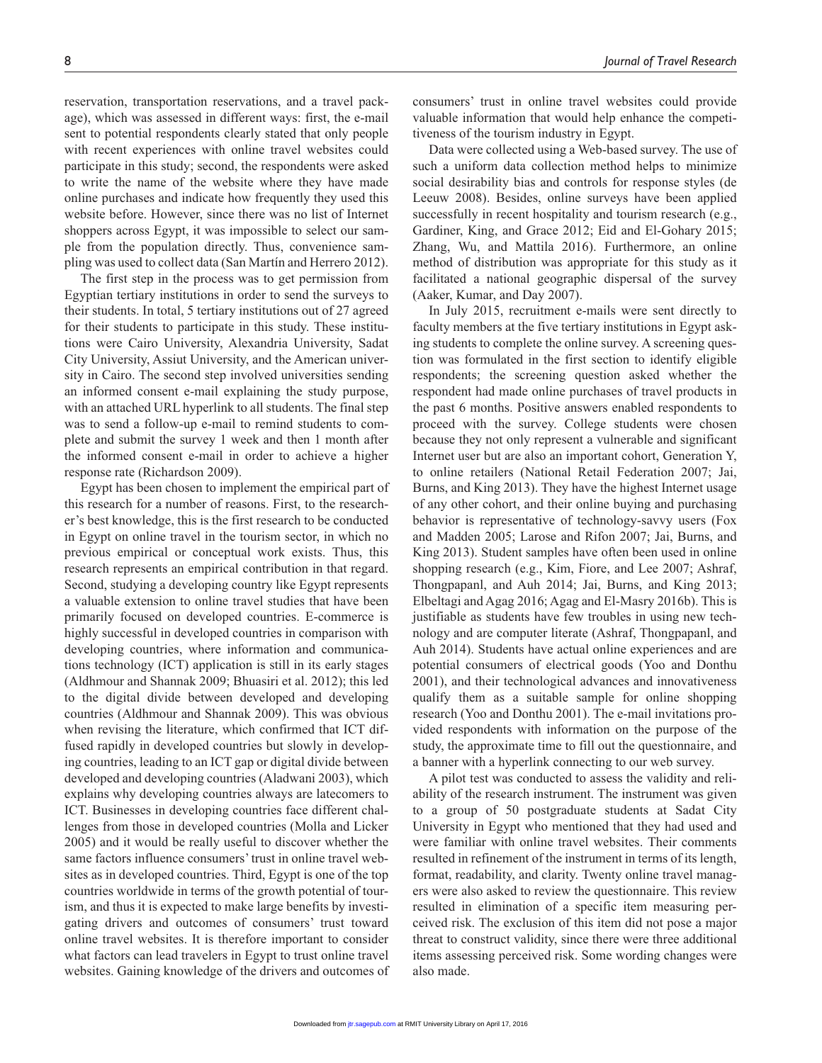reservation, transportation reservations, and a travel package), which was assessed in different ways: first, the e-mail sent to potential respondents clearly stated that only people with recent experiences with online travel websites could participate in this study; second, the respondents were asked to write the name of the website where they have made online purchases and indicate how frequently they used this website before. However, since there was no list of Internet shoppers across Egypt, it was impossible to select our sample from the population directly. Thus, convenience sampling was used to collect data (San Martín and Herrero 2012).

The first step in the process was to get permission from Egyptian tertiary institutions in order to send the surveys to their students. In total, 5 tertiary institutions out of 27 agreed for their students to participate in this study. These institutions were Cairo University, Alexandria University, Sadat City University, Assiut University, and the American university in Cairo. The second step involved universities sending an informed consent e-mail explaining the study purpose, with an attached URL hyperlink to all students. The final step was to send a follow-up e-mail to remind students to complete and submit the survey 1 week and then 1 month after the informed consent e-mail in order to achieve a higher response rate (Richardson 2009).

Egypt has been chosen to implement the empirical part of this research for a number of reasons. First, to the researcher's best knowledge, this is the first research to be conducted in Egypt on online travel in the tourism sector, in which no previous empirical or conceptual work exists. Thus, this research represents an empirical contribution in that regard. Second, studying a developing country like Egypt represents a valuable extension to online travel studies that have been primarily focused on developed countries. E-commerce is highly successful in developed countries in comparison with developing countries, where information and communications technology (ICT) application is still in its early stages (Aldhmour and Shannak 2009; Bhuasiri et al. 2012); this led to the digital divide between developed and developing countries (Aldhmour and Shannak 2009). This was obvious when revising the literature, which confirmed that ICT diffused rapidly in developed countries but slowly in developing countries, leading to an ICT gap or digital divide between developed and developing countries (Aladwani 2003), which explains why developing countries always are latecomers to ICT. Businesses in developing countries face different challenges from those in developed countries (Molla and Licker 2005) and it would be really useful to discover whether the same factors influence consumers' trust in online travel websites as in developed countries. Third, Egypt is one of the top countries worldwide in terms of the growth potential of tourism, and thus it is expected to make large benefits by investigating drivers and outcomes of consumers' trust toward online travel websites. It is therefore important to consider what factors can lead travelers in Egypt to trust online travel websites. Gaining knowledge of the drivers and outcomes of consumers' trust in online travel websites could provide valuable information that would help enhance the competitiveness of the tourism industry in Egypt.

Data were collected using a Web-based survey. The use of such a uniform data collection method helps to minimize social desirability bias and controls for response styles (de Leeuw 2008). Besides, online surveys have been applied successfully in recent hospitality and tourism research (e.g., Gardiner, King, and Grace 2012; Eid and El-Gohary 2015; Zhang, Wu, and Mattila 2016). Furthermore, an online method of distribution was appropriate for this study as it facilitated a national geographic dispersal of the survey (Aaker, Kumar, and Day 2007).

In July 2015, recruitment e-mails were sent directly to faculty members at the five tertiary institutions in Egypt asking students to complete the online survey. A screening question was formulated in the first section to identify eligible respondents; the screening question asked whether the respondent had made online purchases of travel products in the past 6 months. Positive answers enabled respondents to proceed with the survey. College students were chosen because they not only represent a vulnerable and significant Internet user but are also an important cohort, Generation Y, to online retailers (National Retail Federation 2007; Jai, Burns, and King 2013). They have the highest Internet usage of any other cohort, and their online buying and purchasing behavior is representative of technology-savvy users (Fox and Madden 2005; Larose and Rifon 2007; Jai, Burns, and King 2013). Student samples have often been used in online shopping research (e.g., Kim, Fiore, and Lee 2007; Ashraf, Thongpapanl, and Auh 2014; Jai, Burns, and King 2013; Elbeltagi and Agag 2016; Agag and El-Masry 2016b). This is justifiable as students have few troubles in using new technology and are computer literate (Ashraf, Thongpapanl, and Auh 2014). Students have actual online experiences and are potential consumers of electrical goods (Yoo and Donthu 2001), and their technological advances and innovativeness qualify them as a suitable sample for online shopping research (Yoo and Donthu 2001). The e-mail invitations provided respondents with information on the purpose of the study, the approximate time to fill out the questionnaire, and a banner with a hyperlink connecting to our web survey.

A pilot test was conducted to assess the validity and reliability of the research instrument. The instrument was given to a group of 50 postgraduate students at Sadat City University in Egypt who mentioned that they had used and were familiar with online travel websites. Their comments resulted in refinement of the instrument in terms of its length, format, readability, and clarity. Twenty online travel managers were also asked to review the questionnaire. This review resulted in elimination of a specific item measuring perceived risk. The exclusion of this item did not pose a major threat to construct validity, since there were three additional items assessing perceived risk. Some wording changes were also made.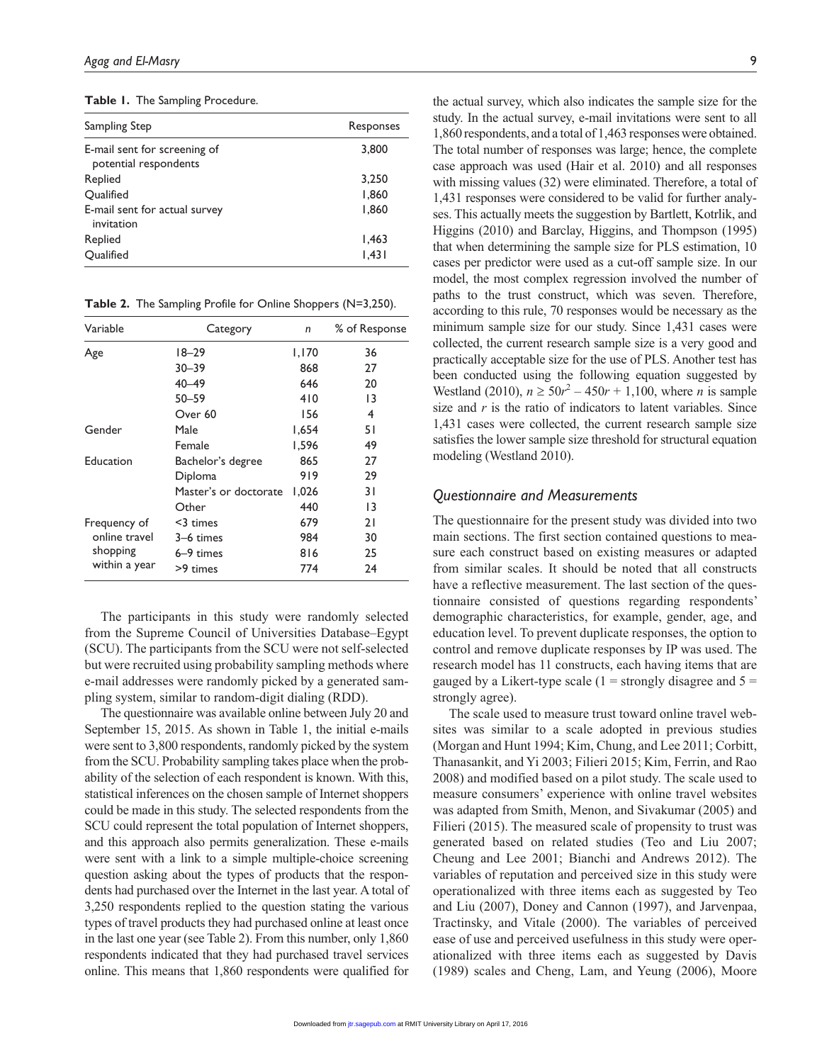|  |  |  |  | Table 1. The Sampling Procedure. |
|--|--|--|--|----------------------------------|
|--|--|--|--|----------------------------------|

| Sampling Step                                         | Responses |
|-------------------------------------------------------|-----------|
| E-mail sent for screening of<br>potential respondents | 3,800     |
| Replied                                               | 3.250     |
| Oualified                                             | 1,860     |
| E-mail sent for actual survey<br>invitation           | 1,860     |
| Replied                                               | 1.463     |
| <b>Qualified</b>                                      | 1,431     |

**Table 2.** The Sampling Profile for Online Shoppers (N=3,250).

| Variable<br>Category |                       | n     | % of Response |
|----------------------|-----------------------|-------|---------------|
| Age                  | $18 - 29$             | 1,170 | 36            |
|                      | $30 - 39$             | 868   | 27            |
|                      | $40 - 49$             | 646   | 20            |
|                      | $50 - 59$             | 410   | 13            |
|                      | Over 60               | 156   | 4             |
| Gender               | Male                  | 1,654 | 51            |
|                      | Female                | 1,596 | 49            |
| Education            | Bachelor's degree     | 865   | 27            |
|                      | Diploma               | 919   | 29            |
|                      | Master's or doctorate | 1,026 | 31            |
|                      | Other                 | 440   | 13            |
| Frequency of         | $<$ 3 times           | 679   | 21            |
| online travel        | 3-6 times             | 984   | 30            |
| shopping             | $6-9$ times           | 816   | 25            |
| within a year        | >9 times              | 774   | 24            |

The participants in this study were randomly selected from the Supreme Council of Universities Database–Egypt (SCU). The participants from the SCU were not self-selected but were recruited using probability sampling methods where e-mail addresses were randomly picked by a generated sampling system, similar to random-digit dialing (RDD).

The questionnaire was available online between July 20 and September 15, 2015. As shown in Table 1, the initial e-mails were sent to 3,800 respondents, randomly picked by the system from the SCU. Probability sampling takes place when the probability of the selection of each respondent is known. With this, statistical inferences on the chosen sample of Internet shoppers could be made in this study. The selected respondents from the SCU could represent the total population of Internet shoppers, and this approach also permits generalization. These e-mails were sent with a link to a simple multiple-choice screening question asking about the types of products that the respondents had purchased over the Internet in the last year. A total of 3,250 respondents replied to the question stating the various types of travel products they had purchased online at least once in the last one year (see Table 2). From this number, only 1,860 respondents indicated that they had purchased travel services online. This means that 1,860 respondents were qualified for

the actual survey, which also indicates the sample size for the study. In the actual survey, e-mail invitations were sent to all 1,860 respondents, and a total of 1,463 responses were obtained. The total number of responses was large; hence, the complete case approach was used (Hair et al. 2010) and all responses with missing values (32) were eliminated. Therefore, a total of 1,431 responses were considered to be valid for further analyses. This actually meets the suggestion by Bartlett, Kotrlik, and Higgins (2010) and Barclay, Higgins, and Thompson (1995) that when determining the sample size for PLS estimation, 10 cases per predictor were used as a cut-off sample size. In our model, the most complex regression involved the number of paths to the trust construct, which was seven. Therefore, according to this rule, 70 responses would be necessary as the minimum sample size for our study. Since 1,431 cases were collected, the current research sample size is a very good and practically acceptable size for the use of PLS. Another test has been conducted using the following equation suggested by Westland (2010),  $n \ge 50r^2 - 450r + 1,100$ , where *n* is sample size and *r* is the ratio of indicators to latent variables. Since 1,431 cases were collected, the current research sample size satisfies the lower sample size threshold for structural equation modeling (Westland 2010).

#### *Questionnaire and Measurements*

The questionnaire for the present study was divided into two main sections. The first section contained questions to measure each construct based on existing measures or adapted from similar scales. It should be noted that all constructs have a reflective measurement. The last section of the questionnaire consisted of questions regarding respondents' demographic characteristics, for example, gender, age, and education level. To prevent duplicate responses, the option to control and remove duplicate responses by IP was used. The research model has 11 constructs, each having items that are gauged by a Likert-type scale  $(1 =$  strongly disagree and  $5 =$ strongly agree).

The scale used to measure trust toward online travel websites was similar to a scale adopted in previous studies (Morgan and Hunt 1994; Kim, Chung, and Lee 2011; Corbitt, Thanasankit, and Yi 2003; Filieri 2015; Kim, Ferrin, and Rao 2008) and modified based on a pilot study. The scale used to measure consumers' experience with online travel websites was adapted from Smith, Menon, and Sivakumar (2005) and Filieri (2015). The measured scale of propensity to trust was generated based on related studies (Teo and Liu 2007; Cheung and Lee 2001; Bianchi and Andrews 2012). The variables of reputation and perceived size in this study were operationalized with three items each as suggested by Teo and Liu (2007), Doney and Cannon (1997), and Jarvenpaa, Tractinsky, and Vitale (2000). The variables of perceived ease of use and perceived usefulness in this study were operationalized with three items each as suggested by Davis (1989) scales and Cheng, Lam, and Yeung (2006), Moore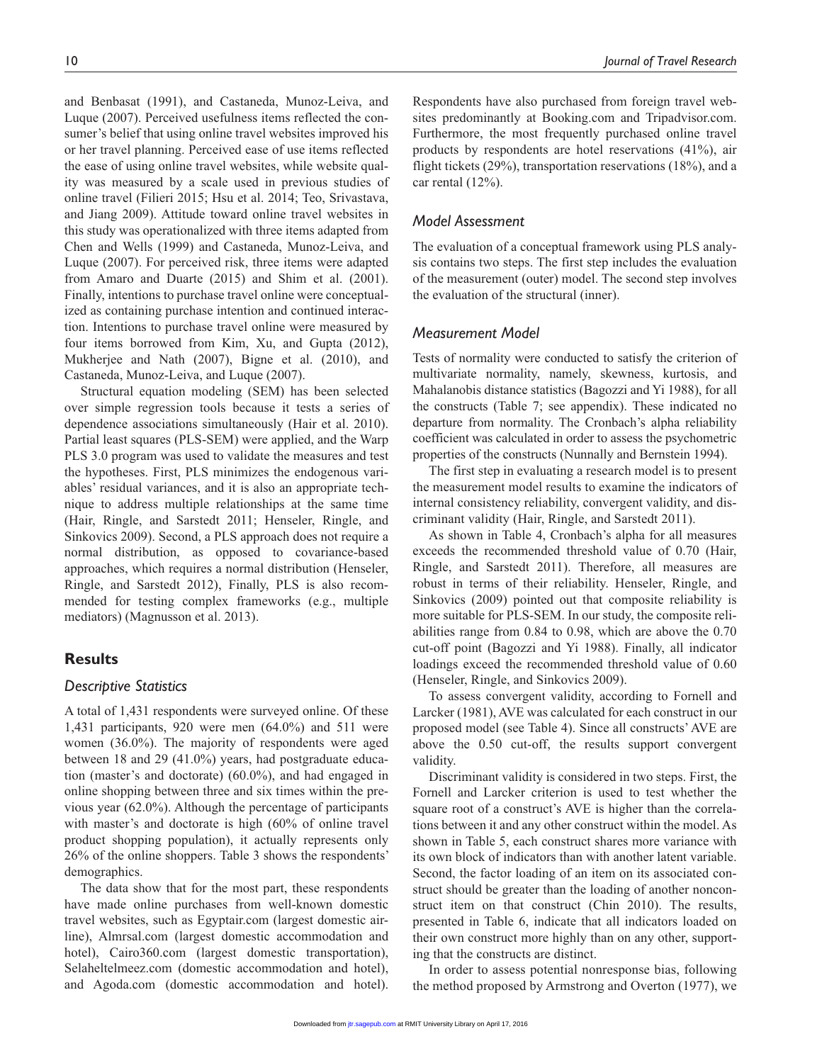and Benbasat (1991), and Castaneda, Munoz-Leiva, and Luque (2007). Perceived usefulness items reflected the consumer's belief that using online travel websites improved his or her travel planning. Perceived ease of use items reflected the ease of using online travel websites, while website quality was measured by a scale used in previous studies of online travel (Filieri 2015; Hsu et al. 2014; Teo, Srivastava, and Jiang 2009). Attitude toward online travel websites in this study was operationalized with three items adapted from Chen and Wells (1999) and Castaneda, Munoz-Leiva, and Luque (2007). For perceived risk, three items were adapted from Amaro and Duarte (2015) and Shim et al. (2001). Finally, intentions to purchase travel online were conceptualized as containing purchase intention and continued interaction. Intentions to purchase travel online were measured by four items borrowed from Kim, Xu, and Gupta (2012), Mukherjee and Nath (2007), Bigne et al. (2010), and Castaneda, Munoz-Leiva, and Luque (2007).

Structural equation modeling (SEM) has been selected over simple regression tools because it tests a series of dependence associations simultaneously (Hair et al. 2010). Partial least squares (PLS-SEM) were applied, and the Warp PLS 3.0 program was used to validate the measures and test the hypotheses. First, PLS minimizes the endogenous variables' residual variances, and it is also an appropriate technique to address multiple relationships at the same time (Hair, Ringle, and Sarstedt 2011; Henseler, Ringle, and Sinkovics 2009). Second, a PLS approach does not require a normal distribution, as opposed to covariance-based approaches, which requires a normal distribution (Henseler, Ringle, and Sarstedt 2012), Finally, PLS is also recommended for testing complex frameworks (e.g., multiple mediators) (Magnusson et al. 2013).

# **Results**

#### *Descriptive Statistics*

A total of 1,431 respondents were surveyed online. Of these 1,431 participants, 920 were men (64.0%) and 511 were women (36.0%). The majority of respondents were aged between 18 and 29 (41.0%) years, had postgraduate education (master's and doctorate) (60.0%), and had engaged in online shopping between three and six times within the previous year (62.0%). Although the percentage of participants with master's and doctorate is high (60% of online travel product shopping population), it actually represents only 26% of the online shoppers. Table 3 shows the respondents' demographics.

The data show that for the most part, these respondents have made online purchases from well-known domestic travel websites, such as Egyptair.com (largest domestic airline), Almrsal.com (largest domestic accommodation and hotel), Cairo360.com (largest domestic transportation), Selaheltelmeez.com (domestic accommodation and hotel), and Agoda.com (domestic accommodation and hotel).

Respondents have also purchased from foreign travel websites predominantly at Booking.com and Tripadvisor.com. Furthermore, the most frequently purchased online travel products by respondents are hotel reservations (41%), air flight tickets (29%), transportation reservations (18%), and a car rental (12%).

#### *Model Assessment*

The evaluation of a conceptual framework using PLS analysis contains two steps. The first step includes the evaluation of the measurement (outer) model. The second step involves the evaluation of the structural (inner).

#### *Measurement Model*

Tests of normality were conducted to satisfy the criterion of multivariate normality, namely, skewness, kurtosis, and Mahalanobis distance statistics (Bagozzi and Yi 1988), for all the constructs (Table 7; see appendix). These indicated no departure from normality. The Cronbach's alpha reliability coefficient was calculated in order to assess the psychometric properties of the constructs (Nunnally and Bernstein 1994).

The first step in evaluating a research model is to present the measurement model results to examine the indicators of internal consistency reliability, convergent validity, and discriminant validity (Hair, Ringle, and Sarstedt 2011).

As shown in Table 4, Cronbach's alpha for all measures exceeds the recommended threshold value of 0.70 (Hair, Ringle, and Sarstedt 2011). Therefore, all measures are robust in terms of their reliability. Henseler, Ringle, and Sinkovics (2009) pointed out that composite reliability is more suitable for PLS-SEM. In our study, the composite reliabilities range from 0.84 to 0.98, which are above the 0.70 cut-off point (Bagozzi and Yi 1988). Finally, all indicator loadings exceed the recommended threshold value of 0.60 (Henseler, Ringle, and Sinkovics 2009).

To assess convergent validity, according to Fornell and Larcker (1981), AVE was calculated for each construct in our proposed model (see Table 4). Since all constructs' AVE are above the 0.50 cut-off, the results support convergent validity.

Discriminant validity is considered in two steps. First, the Fornell and Larcker criterion is used to test whether the square root of a construct's AVE is higher than the correlations between it and any other construct within the model. As shown in Table 5, each construct shares more variance with its own block of indicators than with another latent variable. Second, the factor loading of an item on its associated construct should be greater than the loading of another nonconstruct item on that construct (Chin 2010). The results, presented in Table 6, indicate that all indicators loaded on their own construct more highly than on any other, supporting that the constructs are distinct.

In order to assess potential nonresponse bias, following the method proposed by Armstrong and Overton (1977), we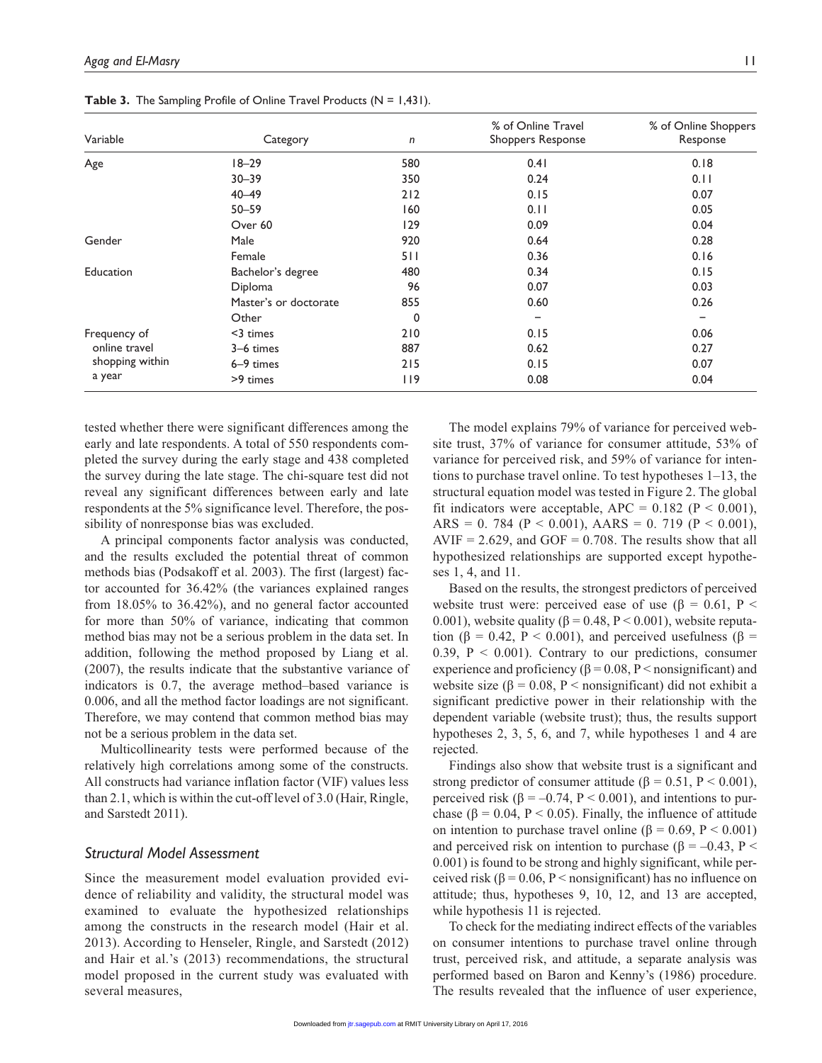| Variable        | Category              | n   | % of Online Travel<br>Shoppers Response | % of Online Shoppers<br>Response |
|-----------------|-----------------------|-----|-----------------------------------------|----------------------------------|
| Age             | $18 - 29$             | 580 | 0.41                                    | 0.18                             |
|                 | $30 - 39$             | 350 | 0.24                                    | 0.11                             |
|                 | $40 - 49$             | 212 | 0.15                                    | 0.07                             |
|                 | $50 - 59$             | 160 | 0.11                                    | 0.05                             |
|                 | Over 60               | 129 | 0.09                                    | 0.04                             |
| Gender          | Male                  | 920 | 0.64                                    | 0.28                             |
|                 | Female                | 511 | 0.36                                    | 0.16                             |
| Education       | Bachelor's degree     | 480 | 0.34                                    | 0.15                             |
|                 | Diploma               | 96  | 0.07                                    | 0.03                             |
|                 | Master's or doctorate | 855 | 0.60                                    | 0.26                             |
|                 | Other                 | 0   | $\qquad \qquad -$                       | $\overline{\phantom{0}}$         |
| Frequency of    | $<$ 3 times           | 210 | 0.15                                    | 0.06                             |
| online travel   | 3-6 times             | 887 | 0.62                                    | 0.27                             |
| shopping within | 6-9 times             | 215 | 0.15                                    | 0.07                             |
| a year          | >9 times              | 119 | 0.08                                    | 0.04                             |

**Table 3.** The Sampling Profile of Online Travel Products (N = 1,431).

tested whether there were significant differences among the early and late respondents. A total of 550 respondents completed the survey during the early stage and 438 completed the survey during the late stage. The chi-square test did not reveal any significant differences between early and late respondents at the 5% significance level. Therefore, the possibility of nonresponse bias was excluded.

A principal components factor analysis was conducted, and the results excluded the potential threat of common methods bias (Podsakoff et al. 2003). The first (largest) factor accounted for 36.42% (the variances explained ranges from 18.05% to 36.42%), and no general factor accounted for more than 50% of variance, indicating that common method bias may not be a serious problem in the data set. In addition, following the method proposed by Liang et al. (2007), the results indicate that the substantive variance of indicators is 0.7, the average method–based variance is 0.006, and all the method factor loadings are not significant. Therefore, we may contend that common method bias may not be a serious problem in the data set.

Multicollinearity tests were performed because of the relatively high correlations among some of the constructs. All constructs had variance inflation factor (VIF) values less than 2.1, which is within the cut-off level of 3.0 (Hair, Ringle, and Sarstedt 2011).

#### *Structural Model Assessment*

Since the measurement model evaluation provided evidence of reliability and validity, the structural model was examined to evaluate the hypothesized relationships among the constructs in the research model (Hair et al. 2013). According to Henseler, Ringle, and Sarstedt (2012) and Hair et al.'s (2013) recommendations, the structural model proposed in the current study was evaluated with several measures,

The model explains 79% of variance for perceived website trust, 37% of variance for consumer attitude, 53% of variance for perceived risk, and 59% of variance for intentions to purchase travel online. To test hypotheses 1–13, the structural equation model was tested in Figure 2. The global fit indicators were acceptable,  $APC = 0.182$  (P < 0.001),  $ARS = 0.784 (P < 0.001)$ ,  $AARS = 0.719 (P < 0.001)$ ,  $AVIF = 2.629$ , and  $GOF = 0.708$ . The results show that all hypothesized relationships are supported except hypotheses 1, 4, and 11.

Based on the results, the strongest predictors of perceived website trust were: perceived ease of use ( $\beta$  = 0.61, P < 0.001), website quality ( $\beta$  = 0.48, P < 0.001), website reputation ( $\beta$  = 0.42, P < 0.001), and perceived usefulness ( $\beta$  = 0.39,  $P < 0.001$ ). Contrary to our predictions, consumer experience and proficiency ( $\beta$  = 0.08, P < nonsignificant) and website size ( $\beta = 0.08$ , P < nonsignificant) did not exhibit a significant predictive power in their relationship with the dependent variable (website trust); thus, the results support hypotheses 2, 3, 5, 6, and 7, while hypotheses 1 and 4 are rejected.

Findings also show that website trust is a significant and strong predictor of consumer attitude ( $\beta = 0.51$ , P < 0.001), perceived risk ( $\beta = -0.74$ ,  $P < 0.001$ ), and intentions to purchase ( $\beta$  = 0.04, P < 0.05). Finally, the influence of attitude on intention to purchase travel online ( $\beta = 0.69$ ,  $P < 0.001$ ) and perceived risk on intention to purchase ( $\beta = -0.43$ , P < 0.001) is found to be strong and highly significant, while perceived risk ( $β = 0.06$ ,  $P <$  nonsignificant) has no influence on attitude; thus, hypotheses 9, 10, 12, and 13 are accepted, while hypothesis 11 is rejected.

To check for the mediating indirect effects of the variables on consumer intentions to purchase travel online through trust, perceived risk, and attitude, a separate analysis was performed based on Baron and Kenny's (1986) procedure. The results revealed that the influence of user experience,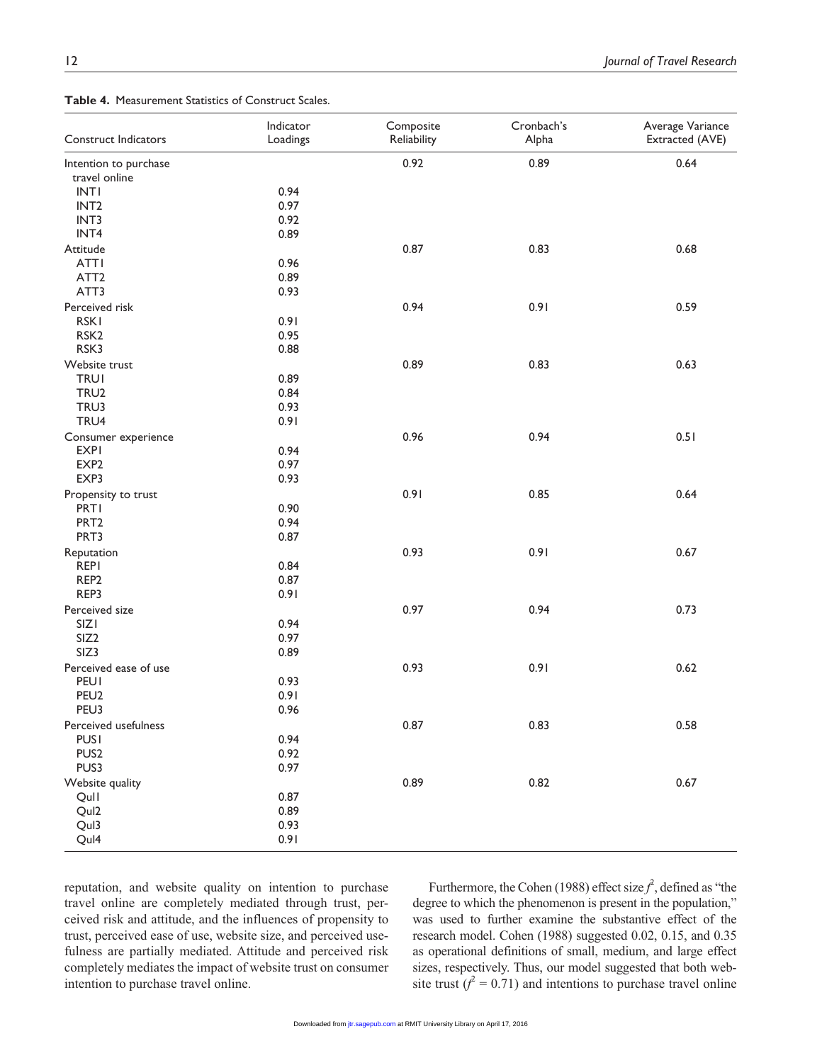| Construct Indicators  | Indicator<br>Loadings | Composite<br>Reliability | Cronbach's<br>Alpha | Average Variance<br>Extracted (AVE) |
|-----------------------|-----------------------|--------------------------|---------------------|-------------------------------------|
| Intention to purchase |                       | 0.92                     | 0.89                | 0.64                                |
| travel online         |                       |                          |                     |                                     |
| <b>INTI</b>           | 0.94                  |                          |                     |                                     |
| INT <sub>2</sub>      | 0.97                  |                          |                     |                                     |
| INT3                  | 0.92                  |                          |                     |                                     |
| INT <sub>4</sub>      | 0.89                  |                          |                     |                                     |
| Attitude              |                       | 0.87                     | 0.83                | 0.68                                |
| <b>ATTI</b>           | 0.96                  |                          |                     |                                     |
| ATT <sub>2</sub>      | 0.89                  |                          |                     |                                     |
| ATT3                  | 0.93                  |                          |                     |                                     |
| Perceived risk        |                       | 0.94                     | 0.91                | 0.59                                |
| <b>RSKI</b>           | 0.91                  |                          |                     |                                     |
| RSK <sub>2</sub>      | 0.95                  |                          |                     |                                     |
| RSK3                  | 0.88                  |                          |                     |                                     |
| Website trust         |                       | 0.89                     | 0.83                | 0.63                                |
| <b>TRUI</b>           | 0.89                  |                          |                     |                                     |
| TRU <sub>2</sub>      | 0.84                  |                          |                     |                                     |
| TRU3                  | 0.93                  |                          |                     |                                     |
| TRU4                  | 0.91                  |                          |                     |                                     |
|                       |                       | 0.96                     | 0.94                | 0.51                                |
| Consumer experience   | 0.94                  |                          |                     |                                     |
| <b>EXPI</b>           | 0.97                  |                          |                     |                                     |
| EXP <sub>2</sub>      |                       |                          |                     |                                     |
| EXP3                  | 0.93                  |                          |                     |                                     |
| Propensity to trust   |                       | 0.91                     | 0.85                | 0.64                                |
| <b>PRTI</b>           | 0.90                  |                          |                     |                                     |
| PRT <sub>2</sub>      | 0.94                  |                          |                     |                                     |
| PRT3                  | 0.87                  |                          |                     |                                     |
| Reputation            |                       | 0.93                     | 0.91                | 0.67                                |
| <b>REPI</b>           | 0.84                  |                          |                     |                                     |
| REP <sub>2</sub>      | 0.87                  |                          |                     |                                     |
| REP3                  | 0.91                  |                          |                     |                                     |
| Perceived size        |                       | 0.97                     | 0.94                | 0.73                                |
| <b>SIZI</b>           | 0.94                  |                          |                     |                                     |
| SIZ2                  | 0.97                  |                          |                     |                                     |
| SIZ3                  | 0.89                  |                          |                     |                                     |
| Perceived ease of use |                       | 0.93                     | 0.91                | 0.62                                |
| <b>PEU1</b>           | 0.93                  |                          |                     |                                     |
| PEU <sub>2</sub>      | 0.91                  |                          |                     |                                     |
| PEU3                  | 0.96                  |                          |                     |                                     |
| Perceived usefulness  |                       | 0.87                     | 0.83                | 0.58                                |
| <b>PUSI</b>           | 0.94                  |                          |                     |                                     |
| PUS <sub>2</sub>      | 0.92                  |                          |                     |                                     |
| PUS3                  | 0.97                  |                          |                     |                                     |
| Website quality       |                       | 0.89                     | 0.82                | 0.67                                |
| Qull                  | 0.87                  |                          |                     |                                     |
| Qul2                  | 0.89                  |                          |                     |                                     |
| Qul3                  | 0.93                  |                          |                     |                                     |
| Qul4                  | 0.91                  |                          |                     |                                     |
|                       |                       |                          |                     |                                     |

reputation, and website quality on intention to purchase travel online are completely mediated through trust, perceived risk and attitude, and the influences of propensity to trust, perceived ease of use, website size, and perceived usefulness are partially mediated. Attitude and perceived risk completely mediates the impact of website trust on consumer intention to purchase travel online.

Furthermore, the Cohen (1988) effect size  $\hat{f}$ , defined as "the degree to which the phenomenon is present in the population," was used to further examine the substantive effect of the research model. Cohen (1988) suggested 0.02, 0.15, and 0.35 as operational definitions of small, medium, and large effect sizes, respectively. Thus, our model suggested that both website trust  $(f^2 = 0.71)$  and intentions to purchase travel online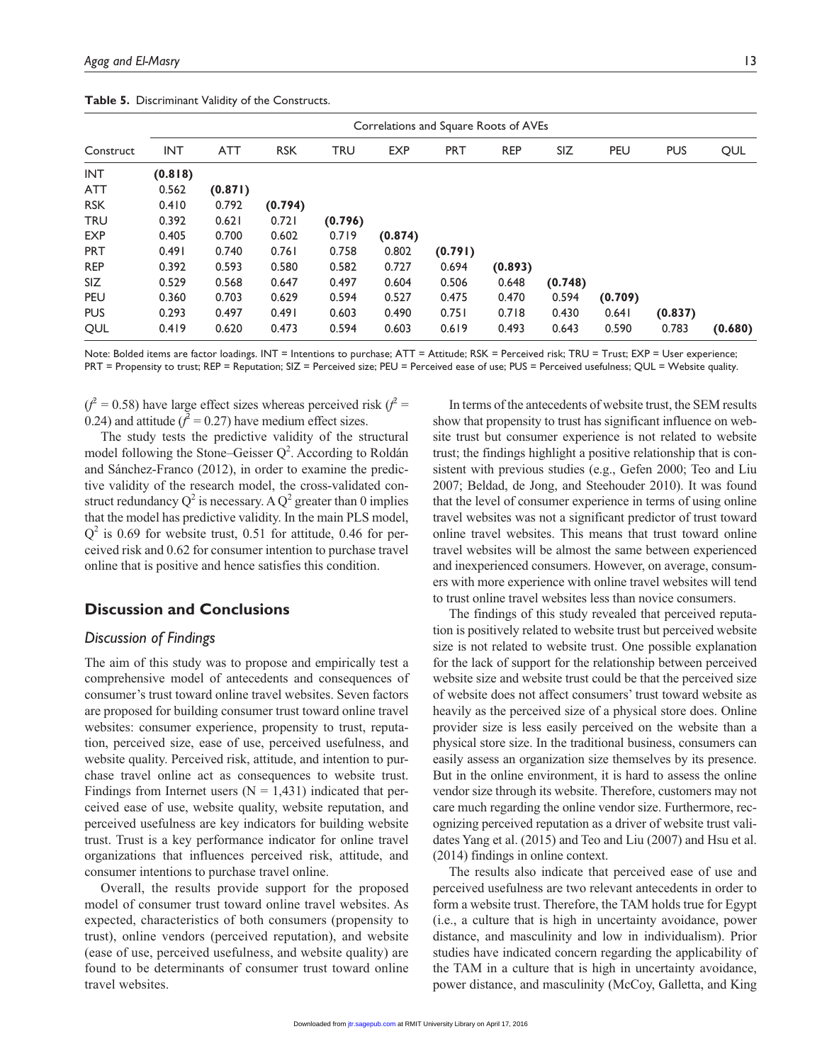|            |            | Correlations and Square Roots of AVEs |            |            |            |            |            |         |         |            |         |  |  |
|------------|------------|---------------------------------------|------------|------------|------------|------------|------------|---------|---------|------------|---------|--|--|
| Construct  | <b>INT</b> | <b>ATT</b>                            | <b>RSK</b> | <b>TRU</b> | <b>EXP</b> | <b>PRT</b> | <b>REP</b> | SIZ     | PEU     | <b>PUS</b> | QUL     |  |  |
| <b>INT</b> | (0.818)    |                                       |            |            |            |            |            |         |         |            |         |  |  |
| <b>ATT</b> | 0.562      | (0.871)                               |            |            |            |            |            |         |         |            |         |  |  |
| <b>RSK</b> | 0.410      | 0.792                                 | (0.794)    |            |            |            |            |         |         |            |         |  |  |
| <b>TRU</b> | 0.392      | 0.621                                 | 0.721      | (0.796)    |            |            |            |         |         |            |         |  |  |
| <b>EXP</b> | 0.405      | 0.700                                 | 0.602      | 0.719      | (0.874)    |            |            |         |         |            |         |  |  |
| <b>PRT</b> | 0.491      | 0.740                                 | 0.761      | 0.758      | 0.802      | (0.791)    |            |         |         |            |         |  |  |
| <b>REP</b> | 0.392      | 0.593                                 | 0.580      | 0.582      | 0.727      | 0.694      | (0.893)    |         |         |            |         |  |  |
| SIZ        | 0.529      | 0.568                                 | 0.647      | 0.497      | 0.604      | 0.506      | 0.648      | (0.748) |         |            |         |  |  |
| PEU        | 0.360      | 0.703                                 | 0.629      | 0.594      | 0.527      | 0.475      | 0.470      | 0.594   | (0.709) |            |         |  |  |
| <b>PUS</b> | 0.293      | 0.497                                 | 0.491      | 0.603      | 0.490      | 0.751      | 0.718      | 0.430   | 0.641   | (0.837)    |         |  |  |
| <b>OUL</b> | 0.419      | 0.620                                 | 0.473      | 0.594      | 0.603      | 0.619      | 0.493      | 0.643   | 0.590   | 0.783      | (0.680) |  |  |

**Table 5.** Discriminant Validity of the Constructs.

Note: Bolded items are factor loadings. INT = Intentions to purchase; ATT = Attitude; RSK = Perceived risk; TRU = Trust; EXP = User experience; PRT = Propensity to trust; REP = Reputation; SIZ = Perceived size; PEU = Perceived ease of use; PUS = Perceived usefulness; QUL = Website quality.

 $(f^2 = 0.58)$  have large effect sizes whereas perceived risk  $(f^2 = 0.58)$ 0.24) and attitude  $(f^2 = 0.27)$  have medium effect sizes.

The study tests the predictive validity of the structural model following the Stone–Geisser  $Q^2$ . According to Roldán and Sánchez-Franco (2012), in order to examine the predictive validity of the research model, the cross-validated construct redundancy Q<sup>2</sup> is necessary. A Q<sup>2</sup> greater than 0 implies that the model has predictive validity. In the main PLS model,  $Q^2$  is 0.69 for website trust, 0.51 for attitude, 0.46 for perceived risk and 0.62 for consumer intention to purchase travel online that is positive and hence satisfies this condition.

# **Discussion and Conclusions**

# *Discussion of Findings*

The aim of this study was to propose and empirically test a comprehensive model of antecedents and consequences of consumer's trust toward online travel websites. Seven factors are proposed for building consumer trust toward online travel websites: consumer experience, propensity to trust, reputation, perceived size, ease of use, perceived usefulness, and website quality. Perceived risk, attitude, and intention to purchase travel online act as consequences to website trust. Findings from Internet users ( $N = 1,431$ ) indicated that perceived ease of use, website quality, website reputation, and perceived usefulness are key indicators for building website trust. Trust is a key performance indicator for online travel organizations that influences perceived risk, attitude, and consumer intentions to purchase travel online.

Overall, the results provide support for the proposed model of consumer trust toward online travel websites. As expected, characteristics of both consumers (propensity to trust), online vendors (perceived reputation), and website (ease of use, perceived usefulness, and website quality) are found to be determinants of consumer trust toward online travel websites.

In terms of the antecedents of website trust, the SEM results show that propensity to trust has significant influence on website trust but consumer experience is not related to website trust; the findings highlight a positive relationship that is consistent with previous studies (e.g., Gefen 2000; Teo and Liu 2007; Beldad, de Jong, and Steehouder 2010). It was found that the level of consumer experience in terms of using online travel websites was not a significant predictor of trust toward online travel websites. This means that trust toward online travel websites will be almost the same between experienced and inexperienced consumers. However, on average, consumers with more experience with online travel websites will tend to trust online travel websites less than novice consumers.

The findings of this study revealed that perceived reputation is positively related to website trust but perceived website size is not related to website trust. One possible explanation for the lack of support for the relationship between perceived website size and website trust could be that the perceived size of website does not affect consumers' trust toward website as heavily as the perceived size of a physical store does. Online provider size is less easily perceived on the website than a physical store size. In the traditional business, consumers can easily assess an organization size themselves by its presence. But in the online environment, it is hard to assess the online vendor size through its website. Therefore, customers may not care much regarding the online vendor size. Furthermore, recognizing perceived reputation as a driver of website trust validates Yang et al. (2015) and Teo and Liu (2007) and Hsu et al. (2014) findings in online context.

The results also indicate that perceived ease of use and perceived usefulness are two relevant antecedents in order to form a website trust. Therefore, the TAM holds true for Egypt (i.e., a culture that is high in uncertainty avoidance, power distance, and masculinity and low in individualism). Prior studies have indicated concern regarding the applicability of the TAM in a culture that is high in uncertainty avoidance, power distance, and masculinity (McCoy, Galletta, and King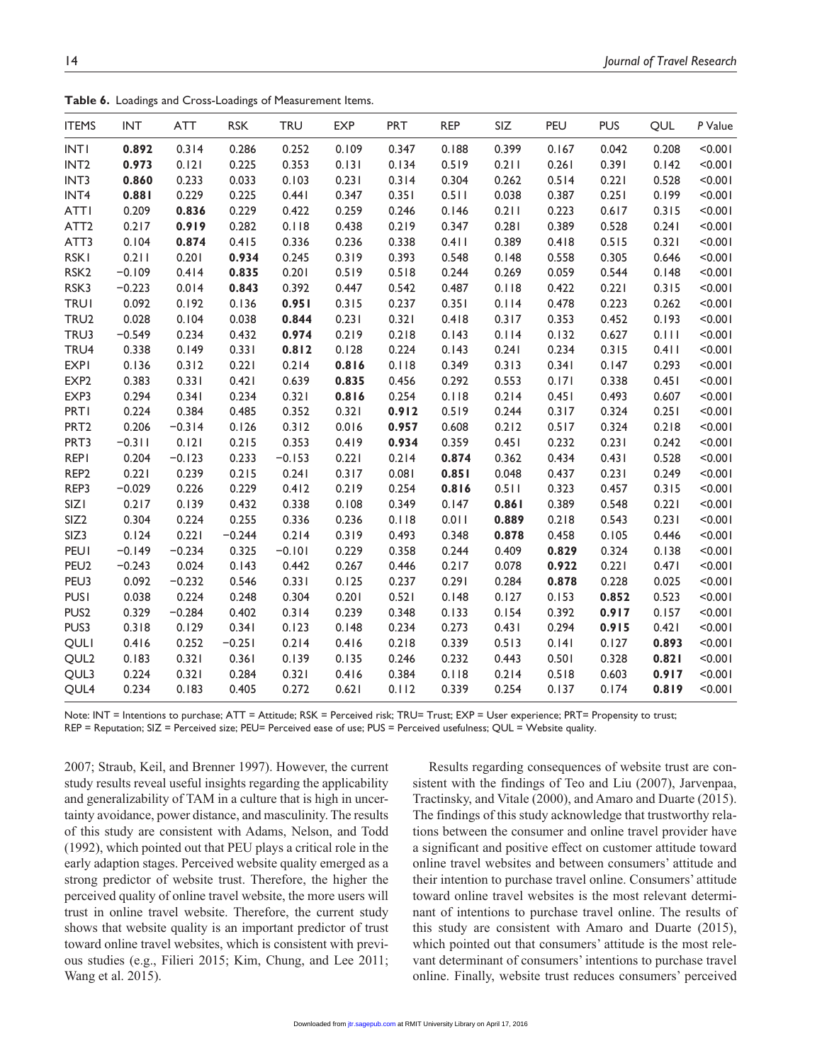**Table 6.** Loadings and Cross-Loadings of Measurement Items.

| <b>ITEMS</b>     | <b>INT</b> | <b>ATT</b> | <b>RSK</b> | <b>TRU</b> | <b>EXP</b> | <b>PRT</b> | <b>REP</b> | SIZ   | PEU   | <b>PUS</b> | <b>OUL</b> | P Value |
|------------------|------------|------------|------------|------------|------------|------------|------------|-------|-------|------------|------------|---------|
| <b>INTI</b>      | 0.892      | 0.314      | 0.286      | 0.252      | 0.109      | 0.347      | 0.188      | 0.399 | 0.167 | 0.042      | 0.208      | < 0.001 |
| INT <sub>2</sub> | 0.973      | 0.121      | 0.225      | 0.353      | 0.131      | 0.134      | 0.519      | 0.211 | 0.261 | 0.391      | 0.142      | < 0.001 |
| INT3             | 0.860      | 0.233      | 0.033      | 0.103      | 0.231      | 0.314      | 0.304      | 0.262 | 0.514 | 0.221      | 0.528      | < 0.001 |
| INT4             | 0.881      | 0.229      | 0.225      | 0.441      | 0.347      | 0.351      | 0.511      | 0.038 | 0.387 | 0.251      | 0.199      | < 0.001 |
| <b>ATTI</b>      | 0.209      | 0.836      | 0.229      | 0.422      | 0.259      | 0.246      | 0.146      | 0.211 | 0.223 | 0.617      | 0.315      | < 0.001 |
| ATT <sub>2</sub> | 0.217      | 0.919      | 0.282      | 0.118      | 0.438      | 0.219      | 0.347      | 0.281 | 0.389 | 0.528      | 0.241      | < 0.001 |
| ATT3             | 0.104      | 0.874      | 0.415      | 0.336      | 0.236      | 0.338      | 0.411      | 0.389 | 0.418 | 0.515      | 0.321      | < 0.001 |
| <b>RSKI</b>      | 0.211      | 0.201      | 0.934      | 0.245      | 0.319      | 0.393      | 0.548      | 0.148 | 0.558 | 0.305      | 0.646      | < 0.001 |
| RSK <sub>2</sub> | $-0.109$   | 0.414      | 0.835      | 0.201      | 0.519      | 0.518      | 0.244      | 0.269 | 0.059 | 0.544      | 0.148      | < 0.001 |
| RSK3             | $-0.223$   | 0.014      | 0.843      | 0.392      | 0.447      | 0.542      | 0.487      | 0.118 | 0.422 | 0.221      | 0.315      | < 0.001 |
| <b>TRUI</b>      | 0.092      | 0.192      | 0.136      | 0.951      | 0.315      | 0.237      | 0.351      | 0.114 | 0.478 | 0.223      | 0.262      | < 0.001 |
| TRU <sub>2</sub> | 0.028      | 0.104      | 0.038      | 0.844      | 0.231      | 0.321      | 0.418      | 0.317 | 0.353 | 0.452      | 0.193      | < 0.001 |
| TRU3             | $-0.549$   | 0.234      | 0.432      | 0.974      | 0.219      | 0.218      | 0.143      | 0.114 | 0.132 | 0.627      | 0.111      | < 0.001 |
| TRU4             | 0.338      | 0.149      | 0.331      | 0.812      | 0.128      | 0.224      | 0.143      | 0.241 | 0.234 | 0.315      | 0.411      | < 0.001 |
| <b>EXPI</b>      | 0.136      | 0.312      | 0.221      | 0.214      | 0.816      | 0.118      | 0.349      | 0.313 | 0.341 | 0.147      | 0.293      | < 0.001 |
| EXP <sub>2</sub> | 0.383      | 0.331      | 0.421      | 0.639      | 0.835      | 0.456      | 0.292      | 0.553 | 0.171 | 0.338      | 0.451      | < 0.001 |
| EXP3             | 0.294      | 0.341      | 0.234      | 0.321      | 0.816      | 0.254      | 0.118      | 0.214 | 0.451 | 0.493      | 0.607      | < 0.001 |
| PRTI             | 0.224      | 0.384      | 0.485      | 0.352      | 0.321      | 0.912      | 0.519      | 0.244 | 0.317 | 0.324      | 0.251      | < 0.001 |
| PRT <sub>2</sub> | 0.206      | $-0.314$   | 0.126      | 0.312      | 0.016      | 0.957      | 0.608      | 0.212 | 0.517 | 0.324      | 0.218      | < 0.001 |
| PRT3             | $-0.311$   | 0.121      | 0.215      | 0.353      | 0.419      | 0.934      | 0.359      | 0.451 | 0.232 | 0.231      | 0.242      | < 0.001 |
| <b>REPI</b>      | 0.204      | $-0.123$   | 0.233      | $-0.153$   | 0.221      | 0.214      | 0.874      | 0.362 | 0.434 | 0.431      | 0.528      | < 0.001 |
| REP <sub>2</sub> | 0.221      | 0.239      | 0.215      | 0.241      | 0.317      | 0.081      | 0.851      | 0.048 | 0.437 | 0.231      | 0.249      | < 0.001 |
| REP3             | $-0.029$   | 0.226      | 0.229      | 0.412      | 0.219      | 0.254      | 0.816      | 0.511 | 0.323 | 0.457      | 0.315      | < 0.001 |
| <b>SIZI</b>      | 0.217      | 0.139      | 0.432      | 0.338      | 0.108      | 0.349      | 0.147      | 0.861 | 0.389 | 0.548      | 0.221      | < 0.001 |
| SIZ <sub>2</sub> | 0.304      | 0.224      | 0.255      | 0.336      | 0.236      | 0.118      | 0.011      | 0.889 | 0.218 | 0.543      | 0.231      | < 0.001 |
| SIZ3             | 0.124      | 0.221      | $-0.244$   | 0.214      | 0.319      | 0.493      | 0.348      | 0.878 | 0.458 | 0.105      | 0.446      | < 0.001 |
| <b>PEU1</b>      | $-0.149$   | $-0.234$   | 0.325      | $-0.101$   | 0.229      | 0.358      | 0.244      | 0.409 | 0.829 | 0.324      | 0.138      | < 0.001 |
| PEU <sub>2</sub> | $-0.243$   | 0.024      | 0.143      | 0.442      | 0.267      | 0.446      | 0.217      | 0.078 | 0.922 | 0.221      | 0.471      | < 0.001 |
| PEU3             | 0.092      | $-0.232$   | 0.546      | 0.331      | 0.125      | 0.237      | 0.291      | 0.284 | 0.878 | 0.228      | 0.025      | < 0.001 |
| <b>PUSI</b>      | 0.038      | 0.224      | 0.248      | 0.304      | 0.201      | 0.521      | 0.148      | 0.127 | 0.153 | 0.852      | 0.523      | < 0.001 |
| PUS <sub>2</sub> | 0.329      | $-0.284$   | 0.402      | 0.314      | 0.239      | 0.348      | 0.133      | 0.154 | 0.392 | 0.917      | 0.157      | < 0.001 |
| PUS3             | 0.318      | 0.129      | 0.341      | 0.123      | 0.148      | 0.234      | 0.273      | 0.431 | 0.294 | 0.915      | 0.421      | < 0.001 |
| <b>QULI</b>      | 0.416      | 0.252      | $-0.251$   | 0.214      | 0.416      | 0.218      | 0.339      | 0.513 | 0.141 | 0.127      | 0.893      | < 0.001 |
| QUL <sub>2</sub> | 0.183      | 0.321      | 0.361      | 0.139      | 0.135      | 0.246      | 0.232      | 0.443 | 0.501 | 0.328      | 0.821      | < 0.001 |
| QUL3             | 0.224      | 0.321      | 0.284      | 0.321      | 0.416      | 0.384      | 0.118      | 0.214 | 0.518 | 0.603      | 0.917      | < 0.001 |
| QUL4             | 0.234      | 0.183      | 0.405      | 0.272      | 0.621      | 0.112      | 0.339      | 0.254 | 0.137 | 0.174      | 0.819      | < 0.001 |

Note: INT = Intentions to purchase; ATT = Attitude; RSK = Perceived risk; TRU= Trust; EXP = User experience; PRT= Propensity to trust; REP = Reputation; SIZ = Perceived size; PEU= Perceived ease of use; PUS = Perceived usefulness; QUL = Website quality.

2007; Straub, Keil, and Brenner 1997). However, the current study results reveal useful insights regarding the applicability and generalizability of TAM in a culture that is high in uncertainty avoidance, power distance, and masculinity. The results of this study are consistent with Adams, Nelson, and Todd (1992), which pointed out that PEU plays a critical role in the early adaption stages. Perceived website quality emerged as a strong predictor of website trust. Therefore, the higher the perceived quality of online travel website, the more users will trust in online travel website. Therefore, the current study shows that website quality is an important predictor of trust toward online travel websites, which is consistent with previous studies (e.g., Filieri 2015; Kim, Chung, and Lee 2011; Wang et al. 2015).

Results regarding consequences of website trust are consistent with the findings of Teo and Liu (2007), Jarvenpaa, Tractinsky, and Vitale (2000), and Amaro and Duarte (2015). The findings of this study acknowledge that trustworthy relations between the consumer and online travel provider have a significant and positive effect on customer attitude toward online travel websites and between consumers' attitude and their intention to purchase travel online. Consumers' attitude toward online travel websites is the most relevant determinant of intentions to purchase travel online. The results of this study are consistent with Amaro and Duarte (2015), which pointed out that consumers' attitude is the most relevant determinant of consumers' intentions to purchase travel online. Finally, website trust reduces consumers' perceived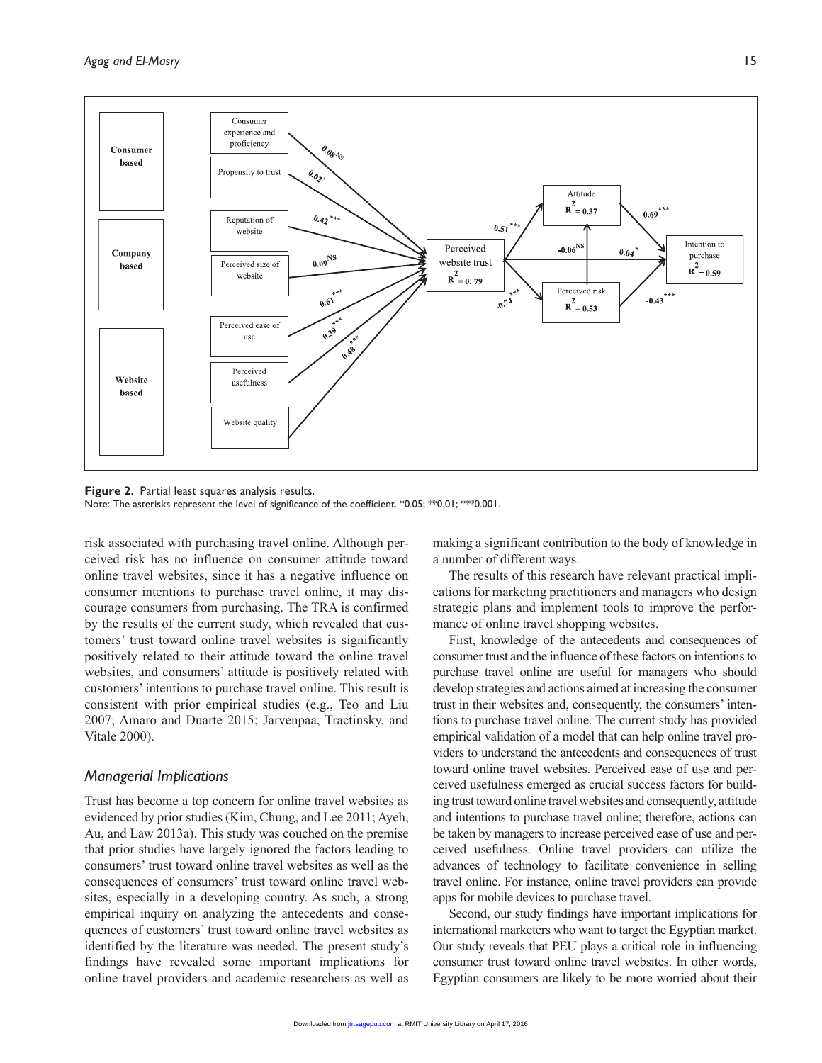

**Figure 2.** Partial least squares analysis results. Note: The asterisks represent the level of significance of the coefficient. \*0.05; \*\*0.01; \*\*\*0.001.

risk associated with purchasing travel online. Although perceived risk has no influence on consumer attitude toward online travel websites, since it has a negative influence on consumer intentions to purchase travel online, it may discourage consumers from purchasing. The TRA is confirmed by the results of the current study, which revealed that customers' trust toward online travel websites is significantly positively related to their attitude toward the online travel websites, and consumers' attitude is positively related with customers' intentions to purchase travel online. This result is consistent with prior empirical studies (e.g., Teo and Liu 2007; Amaro and Duarte 2015; Jarvenpaa, Tractinsky, and Vitale 2000).

#### *Managerial Implications*

Trust has become a top concern for online travel websites as evidenced by prior studies (Kim, Chung, and Lee 2011; Ayeh, Au, and Law 2013a). This study was couched on the premise that prior studies have largely ignored the factors leading to consumers' trust toward online travel websites as well as the consequences of consumers' trust toward online travel websites, especially in a developing country. As such, a strong empirical inquiry on analyzing the antecedents and consequences of customers' trust toward online travel websites as identified by the literature was needed. The present study's findings have revealed some important implications for online travel providers and academic researchers as well as

making a significant contribution to the body of knowledge in a number of different ways.

The results of this research have relevant practical implications for marketing practitioners and managers who design strategic plans and implement tools to improve the performance of online travel shopping websites.

First, knowledge of the antecedents and consequences of consumer trust and the influence of these factors on intentions to purchase travel online are useful for managers who should develop strategies and actions aimed at increasing the consumer trust in their websites and, consequently, the consumers' intentions to purchase travel online. The current study has provided empirical validation of a model that can help online travel providers to understand the antecedents and consequences of trust toward online travel websites. Perceived ease of use and perceived usefulness emerged as crucial success factors for building trust toward online travel websites and consequently, attitude and intentions to purchase travel online; therefore, actions can be taken by managers to increase perceived ease of use and perceived usefulness. Online travel providers can utilize the advances of technology to facilitate convenience in selling travel online. For instance, online travel providers can provide apps for mobile devices to purchase travel.

Second, our study findings have important implications for international marketers who want to target the Egyptian market. Our study reveals that PEU plays a critical role in influencing consumer trust toward online travel websites. In other words, Egyptian consumers are likely to be more worried about their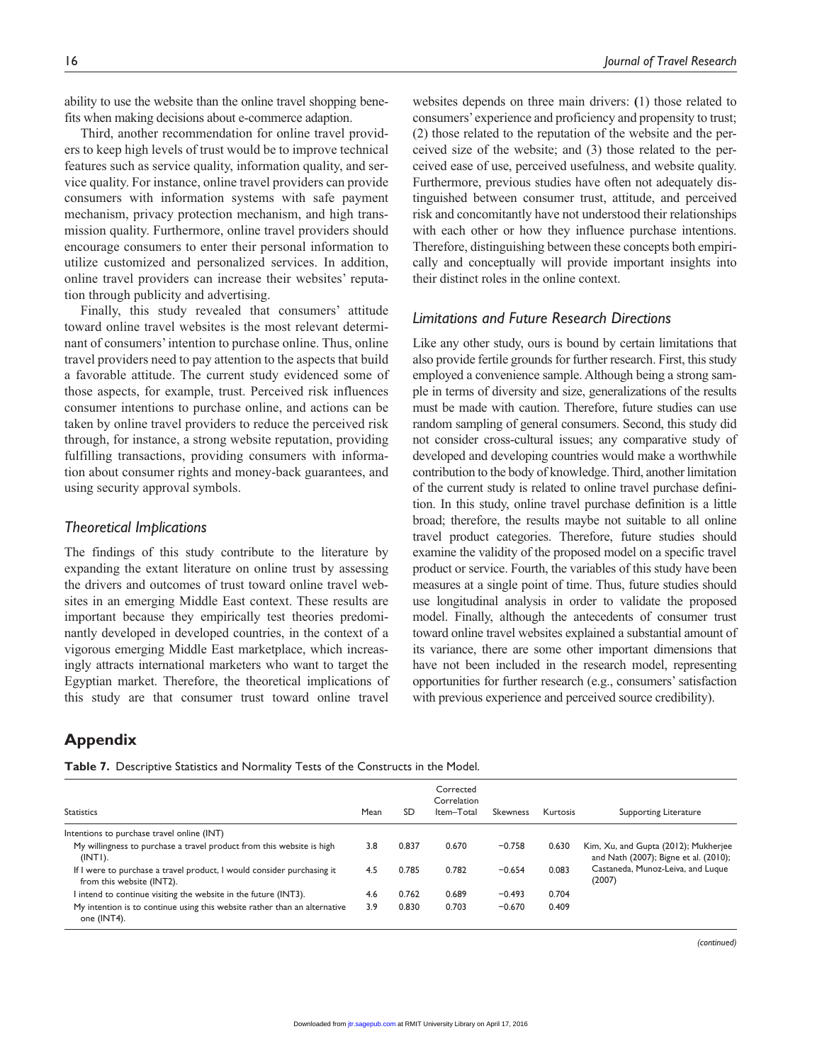ability to use the website than the online travel shopping benefits when making decisions about e-commerce adaption.

Third, another recommendation for online travel providers to keep high levels of trust would be to improve technical features such as service quality, information quality, and service quality. For instance, online travel providers can provide consumers with information systems with safe payment mechanism, privacy protection mechanism, and high transmission quality. Furthermore, online travel providers should encourage consumers to enter their personal information to utilize customized and personalized services. In addition, online travel providers can increase their websites' reputation through publicity and advertising.

Finally, this study revealed that consumers' attitude toward online travel websites is the most relevant determinant of consumers' intention to purchase online. Thus, online travel providers need to pay attention to the aspects that build a favorable attitude. The current study evidenced some of those aspects, for example, trust. Perceived risk influences consumer intentions to purchase online, and actions can be taken by online travel providers to reduce the perceived risk through, for instance, a strong website reputation, providing fulfilling transactions, providing consumers with information about consumer rights and money-back guarantees, and using security approval symbols.

#### *Theoretical Implications*

The findings of this study contribute to the literature by expanding the extant literature on online trust by assessing the drivers and outcomes of trust toward online travel websites in an emerging Middle East context. These results are important because they empirically test theories predominantly developed in developed countries, in the context of a vigorous emerging Middle East marketplace, which increasingly attracts international marketers who want to target the Egyptian market. Therefore, the theoretical implications of this study are that consumer trust toward online travel

websites depends on three main drivers: **(**1) those related to consumers' experience and proficiency and propensity to trust; (2) those related to the reputation of the website and the perceived size of the website; and (3) those related to the perceived ease of use, perceived usefulness, and website quality. Furthermore, previous studies have often not adequately distinguished between consumer trust, attitude, and perceived risk and concomitantly have not understood their relationships with each other or how they influence purchase intentions. Therefore, distinguishing between these concepts both empirically and conceptually will provide important insights into their distinct roles in the online context.

# *Limitations and Future Research Directions*

Like any other study, ours is bound by certain limitations that also provide fertile grounds for further research. First, this study employed a convenience sample. Although being a strong sample in terms of diversity and size, generalizations of the results must be made with caution. Therefore, future studies can use random sampling of general consumers. Second, this study did not consider cross-cultural issues; any comparative study of developed and developing countries would make a worthwhile contribution to the body of knowledge. Third, another limitation of the current study is related to online travel purchase definition. In this study, online travel purchase definition is a little broad; therefore, the results maybe not suitable to all online travel product categories. Therefore, future studies should examine the validity of the proposed model on a specific travel product or service. Fourth, the variables of this study have been measures at a single point of time. Thus, future studies should use longitudinal analysis in order to validate the proposed model. Finally, although the antecedents of consumer trust toward online travel websites explained a substantial amount of its variance, there are some other important dimensions that have not been included in the research model, representing opportunities for further research (e.g., consumers' satisfaction with previous experience and perceived source credibility).

# **Appendix**

**Table 7.** Descriptive Statistics and Normality Tests of the Constructs in the Model.

| <b>Statistics</b>                                                                                   | Mean | SD    | Corrected<br>Correlation<br>Item-Total | Skewness | Kurtosis | Supporting Literature                                                         |
|-----------------------------------------------------------------------------------------------------|------|-------|----------------------------------------|----------|----------|-------------------------------------------------------------------------------|
| Intentions to purchase travel online (INT)                                                          |      |       |                                        |          |          |                                                                               |
| My willingness to purchase a travel product from this website is high<br>(INTI).                    | 3.8  | 0.837 | 0.670                                  | $-0.758$ | 0.630    | Kim, Xu, and Gupta (2012); Mukherjee<br>and Nath (2007); Bigne et al. (2010); |
| If I were to purchase a travel product, I would consider purchasing it<br>from this website (INT2). | 4.5  | 0.785 | 0.782                                  | $-0.654$ | 0.083    | Castaneda, Munoz-Leiva, and Luque<br>(2007)                                   |
| I intend to continue visiting the website in the future (INT3).                                     | 4.6  | 0.762 | 0.689                                  | $-0.493$ | 0.704    |                                                                               |
| My intention is to continue using this website rather than an alternative<br>one (INT4).            | 3.9  | 0.830 | 0.703                                  | $-0.670$ | 0.409    |                                                                               |

*(continued)*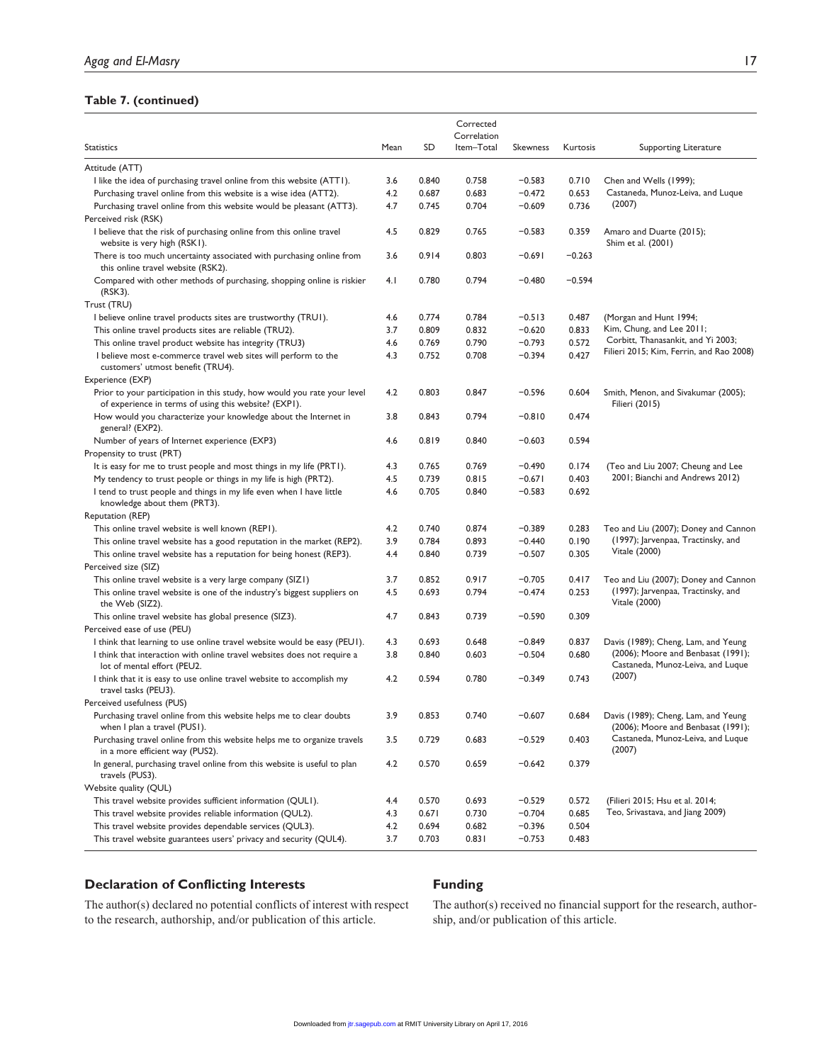#### **Table 7. (continued)**

|                                                                                                                                   |      |       | Corrected<br>Correlation |          |          |                                                                           |
|-----------------------------------------------------------------------------------------------------------------------------------|------|-------|--------------------------|----------|----------|---------------------------------------------------------------------------|
| <b>Statistics</b>                                                                                                                 | Mean | SD    | Item-Total               | Skewness | Kurtosis | <b>Supporting Literature</b>                                              |
| Attitude (ATT)                                                                                                                    |      |       |                          |          |          |                                                                           |
| I like the idea of purchasing travel online from this website (ATTI).                                                             | 3.6  | 0.840 | 0.758                    | $-0.583$ | 0.710    | Chen and Wells (1999);                                                    |
| Purchasing travel online from this website is a wise idea (ATT2).                                                                 | 4.2  | 0.687 | 0.683                    | $-0.472$ | 0.653    | Castaneda, Munoz-Leiva, and Luque                                         |
| Purchasing travel online from this website would be pleasant (ATT3).                                                              | 4.7  | 0.745 | 0.704                    | $-0.609$ | 0.736    | (2007)                                                                    |
| Perceived risk (RSK)                                                                                                              |      |       |                          |          |          |                                                                           |
| I believe that the risk of purchasing online from this online travel<br>website is very high (RSKI).                              | 4.5  | 0.829 | 0.765                    | $-0.583$ | 0.359    | Amaro and Duarte (2015);<br>Shim et al. (2001)                            |
| There is too much uncertainty associated with purchasing online from<br>this online travel website (RSK2).                        | 3.6  | 0.914 | 0.803                    | $-0.691$ | $-0.263$ |                                                                           |
| Compared with other methods of purchasing, shopping online is riskier<br>(RSK3).                                                  | 4. I | 0.780 | 0.794                    | $-0.480$ | $-0.594$ |                                                                           |
| Trust (TRU)                                                                                                                       |      |       |                          |          |          |                                                                           |
| I believe online travel products sites are trustworthy (TRUI).                                                                    | 4.6  | 0.774 | 0.784                    | $-0.513$ | 0.487    | (Morgan and Hunt 1994;                                                    |
| This online travel products sites are reliable (TRU2).                                                                            | 3.7  | 0.809 | 0.832                    | $-0.620$ | 0.833    | Kim, Chung, and Lee 2011;                                                 |
| This online travel product website has integrity (TRU3)                                                                           | 4.6  | 0.769 | 0.790                    | $-0.793$ | 0.572    | Corbitt, Thanasankit, and Yi 2003;                                        |
| I believe most e-commerce travel web sites will perform to the<br>customers' utmost benefit (TRU4).                               | 4.3  | 0.752 | 0.708                    | $-0.394$ | 0.427    | Filieri 2015; Kim, Ferrin, and Rao 2008)                                  |
| Experience (EXP)                                                                                                                  |      |       |                          |          |          |                                                                           |
| Prior to your participation in this study, how would you rate your level<br>of experience in terms of using this website? (EXPI). | 4.2  | 0.803 | 0.847                    | $-0.596$ | 0.604    | Smith, Menon, and Sivakumar (2005);<br>Filieri (2015)                     |
| How would you characterize your knowledge about the Internet in<br>general? (EXP2).                                               | 3.8  | 0.843 | 0.794                    | $-0.810$ | 0.474    |                                                                           |
| Number of years of Internet experience (EXP3)                                                                                     | 4.6  | 0.819 | 0.840                    | $-0.603$ | 0.594    |                                                                           |
| Propensity to trust (PRT)                                                                                                         |      |       |                          |          |          |                                                                           |
| It is easy for me to trust people and most things in my life (PRT1).                                                              | 4.3  | 0.765 | 0.769                    | $-0.490$ | 0.174    | (Teo and Liu 2007; Cheung and Lee                                         |
| My tendency to trust people or things in my life is high (PRT2).                                                                  | 4.5  | 0.739 | 0.815                    | $-0.671$ | 0.403    | 2001; Bianchi and Andrews 2012)                                           |
| I tend to trust people and things in my life even when I have little<br>knowledge about them (PRT3).                              | 4.6  | 0.705 | 0.840                    | $-0.583$ | 0.692    |                                                                           |
| Reputation (REP)                                                                                                                  |      |       |                          |          |          |                                                                           |
| This online travel website is well known (REPI).                                                                                  | 4.2  | 0.740 | 0.874                    | $-0.389$ | 0.283    | Teo and Liu (2007); Doney and Cannon                                      |
| This online travel website has a good reputation in the market (REP2).                                                            | 3.9  | 0.784 | 0.893                    | $-0.440$ | 0.190    | (1997); Jarvenpaa, Tractinsky, and                                        |
| This online travel website has a reputation for being honest (REP3).<br>Perceived size (SIZ)                                      | 4.4  | 0.840 | 0.739                    | $-0.507$ | 0.305    | <b>Vitale (2000)</b>                                                      |
| This online travel website is a very large company (SIZI)                                                                         | 3.7  | 0.852 | 0.917                    | $-0.705$ | 0.417    | Teo and Liu (2007); Doney and Cannon                                      |
| This online travel website is one of the industry's biggest suppliers on<br>the Web (SIZ2).                                       | 4.5  | 0.693 | 0.794                    | $-0.474$ | 0.253    | (1997); Jarvenpaa, Tractinsky, and<br><b>Vitale (2000)</b>                |
| This online travel website has global presence (SIZ3).                                                                            | 4.7  | 0.843 | 0.739                    | $-0.590$ | 0.309    |                                                                           |
| Perceived ease of use (PEU)                                                                                                       |      |       |                          |          |          |                                                                           |
| I think that learning to use online travel website would be easy (PEUI).                                                          | 4.3  | 0.693 | 0.648                    | $-0.849$ | 0.837    | Davis (1989); Cheng, Lam, and Yeung                                       |
| I think that interaction with online travel websites does not require a<br>lot of mental effort (PEU2.                            | 3.8  | 0.840 | 0.603                    | $-0.504$ | 0.680    | (2006); Moore and Benbasat (1991);<br>Castaneda, Munoz-Leiva, and Luque   |
| I think that it is easy to use online travel website to accomplish my<br>travel tasks (PEU3).                                     | 4.2  | 0.594 | 0.780                    | $-0.349$ | 0.743    | (2007)                                                                    |
| Perceived usefulness (PUS)                                                                                                        |      |       |                          |          |          |                                                                           |
| Purchasing travel online from this website helps me to clear doubts<br>when I plan a travel (PUSI).                               | 3.9  | 0.853 | 0.740                    | $-0.607$ | 0.684    | Davis (1989); Cheng, Lam, and Yeung<br>(2006); Moore and Benbasat (1991); |
| Purchasing travel online from this website helps me to organize travels<br>in a more efficient way (PUS2).                        | 3.5  | 0.729 | 0.683                    | $-0.529$ | 0.403    | Castaneda, Munoz-Leiva, and Luque<br>(2007)                               |
| In general, purchasing travel online from this website is useful to plan                                                          | 4.2  | 0.570 | 0.659                    | $-0.642$ | 0.379    |                                                                           |
| travels (PUS3).<br>Website quality (QUL)                                                                                          |      |       |                          |          |          |                                                                           |
| This travel website provides sufficient information (QULI).                                                                       | 4.4  | 0.570 | 0.693                    | $-0.529$ | 0.572    | (Filieri 2015; Hsu et al. 2014;                                           |
| This travel website provides reliable information (QUL2).                                                                         | 4.3  | 0.671 | 0.730                    | $-0.704$ | 0.685    | Teo, Srivastava, and Jiang 2009)                                          |
| This travel website provides dependable services (QUL3).                                                                          | 4.2  | 0.694 | 0.682                    | $-0.396$ | 0.504    |                                                                           |
| This travel website guarantees users' privacy and security (QUL4).                                                                | 3.7  | 0.703 | 0.831                    | $-0.753$ | 0.483    |                                                                           |

# **Declaration of Conflicting Interests**

The author(s) declared no potential conflicts of interest with respect to the research, authorship, and/or publication of this article.

#### **Funding**

The author(s) received no financial support for the research, authorship, and/or publication of this article.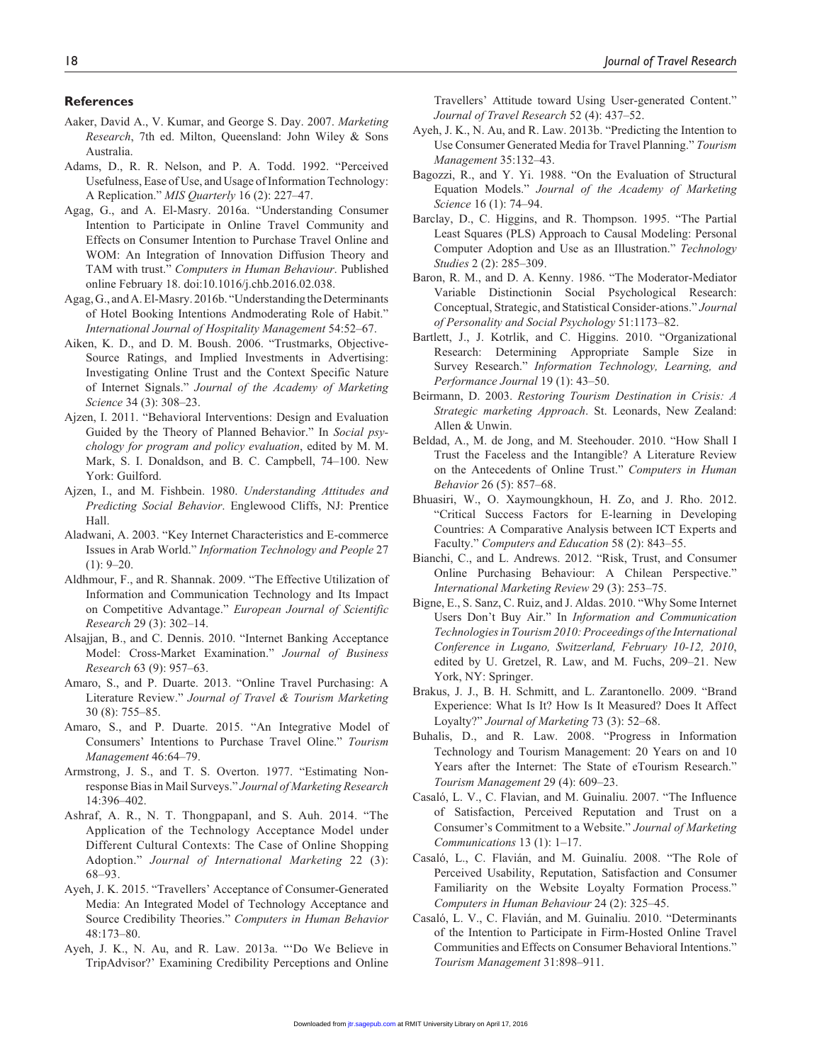#### **References**

- Aaker, David A., V. Kumar, and George S. Day. 2007. *Marketing Research*, 7th ed. Milton, Queensland: John Wiley & Sons Australia.
- Adams, D., R. R. Nelson, and P. A. Todd. 1992. "Perceived Usefulness, Ease of Use, and Usage of Information Technology: A Replication." *MIS Quarterly* 16 (2): 227–47.
- Agag, G., and A. El-Masry. 2016a. "Understanding Consumer Intention to Participate in Online Travel Community and Effects on Consumer Intention to Purchase Travel Online and WOM: An Integration of Innovation Diffusion Theory and TAM with trust." *Computers in Human Behaviour*. Published online February 18. doi:10.1016/j.chb.2016.02.038.
- Agag, G., and A. El-Masry. 2016b. "Understanding the Determinants of Hotel Booking Intentions Andmoderating Role of Habit." *International Journal of Hospitality Management* 54:52–67.
- Aiken, K. D., and D. M. Boush. 2006. "Trustmarks, Objective-Source Ratings, and Implied Investments in Advertising: Investigating Online Trust and the Context Specific Nature of Internet Signals." *Journal of the Academy of Marketing Science* 34 (3): 308–23.
- Ajzen, I. 2011. "Behavioral Interventions: Design and Evaluation Guided by the Theory of Planned Behavior." In *Social psychology for program and policy evaluation*, edited by M. M. Mark, S. I. Donaldson, and B. C. Campbell, 74–100. New York: Guilford.
- Ajzen, I., and M. Fishbein. 1980. *Understanding Attitudes and Predicting Social Behavior*. Englewood Cliffs, NJ: Prentice Hall.
- Aladwani, A. 2003. "Key Internet Characteristics and E-commerce Issues in Arab World." *Information Technology and People* 27 (1): 9–20.
- Aldhmour, F., and R. Shannak. 2009. "The Effective Utilization of Information and Communication Technology and Its Impact on Competitive Advantage." *European Journal of Scientific Research* 29 (3): 302–14.
- Alsajjan, B., and C. Dennis. 2010. "Internet Banking Acceptance Model: Cross-Market Examination." *Journal of Business Research* 63 (9): 957–63.
- Amaro, S., and P. Duarte. 2013. "Online Travel Purchasing: A Literature Review." *Journal of Travel & Tourism Marketing* 30 (8): 755–85.
- Amaro, S., and P. Duarte. 2015. "An Integrative Model of Consumers' Intentions to Purchase Travel Oline." *Tourism Management* 46:64–79.
- Armstrong, J. S., and T. S. Overton. 1977. "Estimating Nonresponse Bias in Mail Surveys." *Journal of Marketing Research* 14:396–402.
- Ashraf, A. R., N. T. Thongpapanl, and S. Auh. 2014. "The Application of the Technology Acceptance Model under Different Cultural Contexts: The Case of Online Shopping Adoption." *Journal of International Marketing* 22 (3): 68–93.
- Ayeh, J. K. 2015. "Travellers' Acceptance of Consumer-Generated Media: An Integrated Model of Technology Acceptance and Source Credibility Theories." *Computers in Human Behavior* 48:173–80.
- Ayeh, J. K., N. Au, and R. Law. 2013a. "'Do We Believe in TripAdvisor?' Examining Credibility Perceptions and Online

Travellers' Attitude toward Using User-generated Content." *Journal of Travel Research* 52 (4): 437–52.

- Ayeh, J. K., N. Au, and R. Law. 2013b. "Predicting the Intention to Use Consumer Generated Media for Travel Planning." *Tourism Management* 35:132–43.
- Bagozzi, R., and Y. Yi. 1988. "On the Evaluation of Structural Equation Models." *Journal of the Academy of Marketing Science* 16 (1): 74–94.
- Barclay, D., C. Higgins, and R. Thompson. 1995. "The Partial Least Squares (PLS) Approach to Causal Modeling: Personal Computer Adoption and Use as an Illustration." *Technology Studies* 2 (2): 285–309.
- Baron, R. M., and D. A. Kenny. 1986. "The Moderator-Mediator Variable Distinctionin Social Psychological Research: Conceptual, Strategic, and Statistical Consider-ations." *Journal of Personality and Social Psychology* 51:1173–82.
- Bartlett, J., J. Kotrlik, and C. Higgins. 2010. "Organizational Research: Determining Appropriate Sample Size in Survey Research." *Information Technology, Learning, and Performance Journal* 19 (1): 43–50.
- Beirmann, D. 2003. *Restoring Tourism Destination in Crisis: A Strategic marketing Approach*. St. Leonards, New Zealand: Allen & Unwin.
- Beldad, A., M. de Jong, and M. Steehouder. 2010. "How Shall I Trust the Faceless and the Intangible? A Literature Review on the Antecedents of Online Trust." *Computers in Human Behavior* 26 (5): 857–68.
- Bhuasiri, W., O. Xaymoungkhoun, H. Zo, and J. Rho. 2012. "Critical Success Factors for E-learning in Developing Countries: A Comparative Analysis between ICT Experts and Faculty." *Computers and Education* 58 (2): 843–55.
- Bianchi, C., and L. Andrews. 2012. "Risk, Trust, and Consumer Online Purchasing Behaviour: A Chilean Perspective." *International Marketing Review* 29 (3): 253–75.
- Bigne, E., S. Sanz, C. Ruiz, and J. Aldas. 2010. "Why Some Internet Users Don't Buy Air." In *Information and Communication Technologies in Tourism 2010: Proceedings of the International Conference in Lugano, Switzerland, February 10-12, 2010*, edited by U. Gretzel, R. Law, and M. Fuchs, 209–21. New York, NY: Springer.
- Brakus, J. J., B. H. Schmitt, and L. Zarantonello. 2009. "Brand Experience: What Is It? How Is It Measured? Does It Affect Loyalty?" *Journal of Marketing* 73 (3): 52–68.
- Buhalis, D., and R. Law. 2008. "Progress in Information Technology and Tourism Management: 20 Years on and 10 Years after the Internet: The State of eTourism Research." *Tourism Management* 29 (4): 609–23.
- Casaló, L. V., C. Flavian, and M. Guinaliu. 2007. "The Influence of Satisfaction, Perceived Reputation and Trust on a Consumer's Commitment to a Website." *Journal of Marketing Communications* 13 (1): 1–17.
- Casaló, L., C. Flavián, and M. Guinalíu. 2008. "The Role of Perceived Usability, Reputation, Satisfaction and Consumer Familiarity on the Website Loyalty Formation Process." *Computers in Human Behaviour* 24 (2): 325–45.
- Casaló, L. V., C. Flavián, and M. Guinaliu. 2010. "Determinants of the Intention to Participate in Firm-Hosted Online Travel Communities and Effects on Consumer Behavioral Intentions." *Tourism Management* 31:898–911.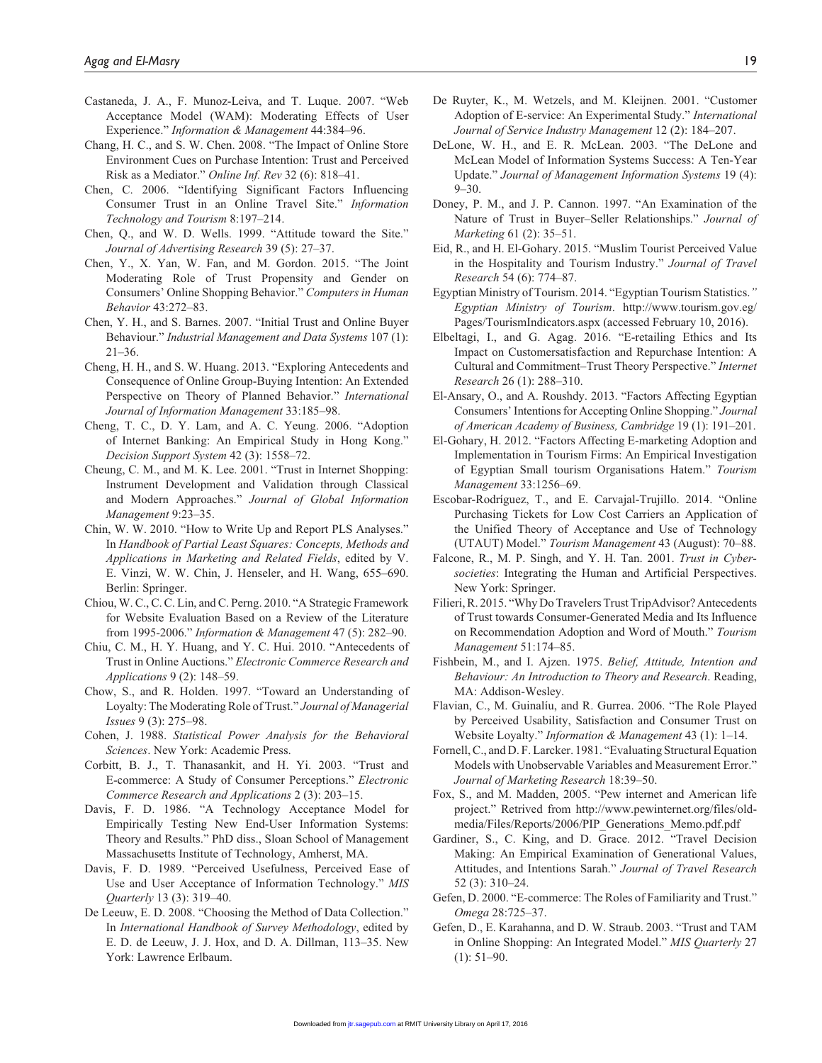- Castaneda, J. A., F. Munoz-Leiva, and T. Luque. 2007. "Web Acceptance Model (WAM): Moderating Effects of User Experience." *Information & Management* 44:384–96.
- Chang, H. C., and S. W. Chen. 2008. "The Impact of Online Store Environment Cues on Purchase Intention: Trust and Perceived Risk as a Mediator." *Online Inf. Rev* 32 (6): 818–41.
- Chen, C. 2006. "Identifying Significant Factors Influencing Consumer Trust in an Online Travel Site." *Information Technology and Tourism* 8:197–214.
- Chen, Q., and W. D. Wells. 1999. "Attitude toward the Site." *Journal of Advertising Research* 39 (5): 27–37.
- Chen, Y., X. Yan, W. Fan, and M. Gordon. 2015. "The Joint Moderating Role of Trust Propensity and Gender on Consumers' Online Shopping Behavior." *Computers in Human Behavior* 43:272–83.
- Chen, Y. H., and S. Barnes. 2007. "Initial Trust and Online Buyer Behaviour." *Industrial Management and Data Systems* 107 (1): 21–36.
- Cheng, H. H., and S. W. Huang. 2013. "Exploring Antecedents and Consequence of Online Group-Buying Intention: An Extended Perspective on Theory of Planned Behavior." *International Journal of Information Management* 33:185–98.
- Cheng, T. C., D. Y. Lam, and A. C. Yeung. 2006. "Adoption of Internet Banking: An Empirical Study in Hong Kong." *Decision Support System* 42 (3): 1558–72.
- Cheung, C. M., and M. K. Lee. 2001. "Trust in Internet Shopping: Instrument Development and Validation through Classical and Modern Approaches." *Journal of Global Information Management* 9:23–35.
- Chin, W. W. 2010. "How to Write Up and Report PLS Analyses." In *Handbook of Partial Least Squares: Concepts, Methods and Applications in Marketing and Related Fields*, edited by V. E. Vinzi, W. W. Chin, J. Henseler, and H. Wang, 655–690. Berlin: Springer.
- Chiou, W. C., C. C. Lin, and C. Perng. 2010. "A Strategic Framework for Website Evaluation Based on a Review of the Literature from 1995-2006." *Information & Management* 47 (5): 282–90.
- Chiu, C. M., H. Y. Huang, and Y. C. Hui. 2010. "Antecedents of Trust in Online Auctions." *Electronic Commerce Research and Applications* 9 (2): 148–59.
- Chow, S., and R. Holden. 1997. "Toward an Understanding of Loyalty: The Moderating Role of Trust." *Journal of Managerial Issues* 9 (3): 275–98.
- Cohen, J. 1988. *Statistical Power Analysis for the Behavioral Sciences*. New York: Academic Press.
- Corbitt, B. J., T. Thanasankit, and H. Yi. 2003. "Trust and E-commerce: A Study of Consumer Perceptions." *Electronic Commerce Research and Applications* 2 (3): 203–15.
- Davis, F. D. 1986. "A Technology Acceptance Model for Empirically Testing New End-User Information Systems: Theory and Results." PhD diss., Sloan School of Management Massachusetts Institute of Technology, Amherst, MA.
- Davis, F. D. 1989. "Perceived Usefulness, Perceived Ease of Use and User Acceptance of Information Technology." *MIS Quarterly* 13 (3): 319–40.
- De Leeuw, E. D. 2008. "Choosing the Method of Data Collection." In *International Handbook of Survey Methodology*, edited by E. D. de Leeuw, J. J. Hox, and D. A. Dillman, 113–35. New York: Lawrence Erlbaum.
- De Ruyter, K., M. Wetzels, and M. Kleijnen. 2001. "Customer Adoption of E-service: An Experimental Study." *International Journal of Service Industry Management* 12 (2): 184–207.
- DeLone, W. H., and E. R. McLean. 2003. "The DeLone and McLean Model of Information Systems Success: A Ten-Year Update." *Journal of Management Information Systems* 19 (4):  $9 - 30.$
- Doney, P. M., and J. P. Cannon. 1997. "An Examination of the Nature of Trust in Buyer–Seller Relationships." *Journal of Marketing* 61 (2): 35–51.
- Eid, R., and H. El-Gohary. 2015. "Muslim Tourist Perceived Value in the Hospitality and Tourism Industry." *Journal of Travel Research* 54 (6): 774–87.
- Egyptian Ministry of Tourism. 2014. "Egyptian Tourism Statistics.*" Egyptian Ministry of Tourism*. http://www.tourism.gov.eg/ Pages/TourismIndicators.aspx (accessed February 10, 2016).
- Elbeltagi, I., and G. Agag. 2016. "E-retailing Ethics and Its Impact on Customersatisfaction and Repurchase Intention: A Cultural and Commitment–Trust Theory Perspective." *Internet Research* 26 (1): 288–310.
- El-Ansary, O., and A. Roushdy. 2013. "Factors Affecting Egyptian Consumers' Intentions for Accepting Online Shopping." *Journal of American Academy of Business, Cambridge* 19 (1): 191–201.
- El-Gohary, H. 2012. "Factors Affecting E-marketing Adoption and Implementation in Tourism Firms: An Empirical Investigation of Egyptian Small tourism Organisations Hatem." *Tourism Management* 33:1256–69.
- Escobar-Rodríguez, T., and E. Carvajal-Trujillo. 2014. "Online Purchasing Tickets for Low Cost Carriers an Application of the Unified Theory of Acceptance and Use of Technology (UTAUT) Model." *Tourism Management* 43 (August): 70–88.
- Falcone, R., M. P. Singh, and Y. H. Tan. 2001. *Trust in Cybersocieties*: Integrating the Human and Artificial Perspectives. New York: Springer.
- Filieri, R. 2015. "Why Do Travelers Trust TripAdvisor? Antecedents of Trust towards Consumer-Generated Media and Its Influence on Recommendation Adoption and Word of Mouth." *Tourism Management* 51:174–85.
- Fishbein, M., and I. Ajzen. 1975. *Belief, Attitude, Intention and Behaviour: An Introduction to Theory and Research*. Reading, MA: Addison-Wesley.
- Flavian, C., M. Guinalíu, and R. Gurrea. 2006. "The Role Played by Perceived Usability, Satisfaction and Consumer Trust on Website Loyalty." *Information & Management* 43 (1): 1–14.
- Fornell, C., and D. F. Larcker. 1981. "Evaluating Structural Equation Models with Unobservable Variables and Measurement Error." *Journal of Marketing Research* 18:39–50.
- Fox, S., and M. Madden, 2005. "Pew internet and American life project." Retrived from http://www.pewinternet.org/files/oldmedia/Files/Reports/2006/PIP\_Generations\_Memo.pdf.pdf
- Gardiner, S., C. King, and D. Grace. 2012. "Travel Decision Making: An Empirical Examination of Generational Values, Attitudes, and Intentions Sarah." *Journal of Travel Research* 52 (3): 310–24.
- Gefen, D. 2000. "E-commerce: The Roles of Familiarity and Trust." *Omega* 28:725–37.
- Gefen, D., E. Karahanna, and D. W. Straub. 2003. "Trust and TAM in Online Shopping: An Integrated Model." *MIS Quarterly* 27  $(1): 51-90.$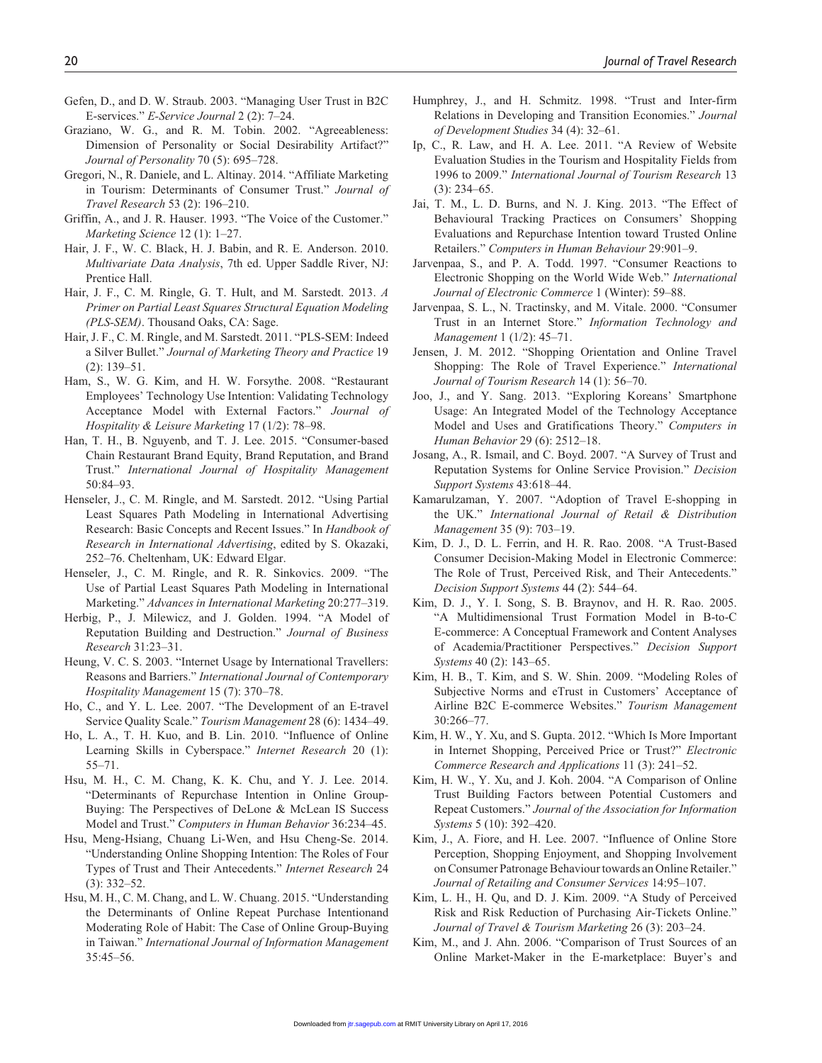- Gefen, D., and D. W. Straub. 2003. "Managing User Trust in B2C E-services." *E-Service Journal* 2 (2): 7–24.
- Graziano, W. G., and R. M. Tobin. 2002. "Agreeableness: Dimension of Personality or Social Desirability Artifact?" *Journal of Personality* 70 (5): 695–728.
- Gregori, N., R. Daniele, and L. Altinay. 2014. "Affiliate Marketing in Tourism: Determinants of Consumer Trust." *Journal of Travel Research* 53 (2): 196–210.
- Griffin, A., and J. R. Hauser. 1993. "The Voice of the Customer." *Marketing Science* 12 (1): 1–27.
- Hair, J. F., W. C. Black, H. J. Babin, and R. E. Anderson. 2010. *Multivariate Data Analysis*, 7th ed. Upper Saddle River, NJ: Prentice Hall.
- Hair, J. F., C. M. Ringle, G. T. Hult, and M. Sarstedt. 2013. *A Primer on Partial Least Squares Structural Equation Modeling (PLS-SEM)*. Thousand Oaks, CA: Sage.
- Hair, J. F., C. M. Ringle, and M. Sarstedt. 2011. "PLS-SEM: Indeed a Silver Bullet." *Journal of Marketing Theory and Practice* 19 (2): 139–51.
- Ham, S., W. G. Kim, and H. W. Forsythe. 2008. "Restaurant Employees' Technology Use Intention: Validating Technology Acceptance Model with External Factors." *Journal of Hospitality & Leisure Marketing* 17 (1/2): 78–98.
- Han, T. H., B. Nguyenb, and T. J. Lee. 2015. "Consumer-based Chain Restaurant Brand Equity, Brand Reputation, and Brand Trust." *International Journal of Hospitality Management* 50:84–93.
- Henseler, J., C. M. Ringle, and M. Sarstedt. 2012. "Using Partial Least Squares Path Modeling in International Advertising Research: Basic Concepts and Recent Issues." In *Handbook of Research in International Advertising*, edited by S. Okazaki, 252–76. Cheltenham, UK: Edward Elgar.
- Henseler, J., C. M. Ringle, and R. R. Sinkovics. 2009. "The Use of Partial Least Squares Path Modeling in International Marketing." *Advances in International Marketing* 20:277–319.
- Herbig, P., J. Milewicz, and J. Golden. 1994. "A Model of Reputation Building and Destruction." *Journal of Business Research* 31:23–31.
- Heung, V. C. S. 2003. "Internet Usage by International Travellers: Reasons and Barriers." *International Journal of Contemporary Hospitality Management* 15 (7): 370–78.
- Ho, C., and Y. L. Lee. 2007. "The Development of an E-travel Service Quality Scale." *Tourism Management* 28 (6): 1434–49.
- Ho, L. A., T. H. Kuo, and B. Lin. 2010. "Influence of Online Learning Skills in Cyberspace." *Internet Research* 20 (1): 55–71.
- Hsu, M. H., C. M. Chang, K. K. Chu, and Y. J. Lee. 2014. "Determinants of Repurchase Intention in Online Group-Buying: The Perspectives of DeLone & McLean IS Success Model and Trust." *Computers in Human Behavior* 36:234–45.
- Hsu, Meng-Hsiang, Chuang Li-Wen, and Hsu Cheng-Se. 2014. "Understanding Online Shopping Intention: The Roles of Four Types of Trust and Their Antecedents." *Internet Research* 24 (3): 332–52.
- Hsu, M. H., C. M. Chang, and L. W. Chuang. 2015. "Understanding the Determinants of Online Repeat Purchase Intentionand Moderating Role of Habit: The Case of Online Group-Buying in Taiwan." *International Journal of Information Management* 35:45–56.
- Humphrey, J., and H. Schmitz. 1998. "Trust and Inter-firm Relations in Developing and Transition Economies." *Journal of Development Studies* 34 (4): 32–61.
- Ip, C., R. Law, and H. A. Lee. 2011. "A Review of Website Evaluation Studies in the Tourism and Hospitality Fields from 1996 to 2009." *International Journal of Tourism Research* 13 (3): 234–65.
- Jai, T. M., L. D. Burns, and N. J. King. 2013. "The Effect of Behavioural Tracking Practices on Consumers' Shopping Evaluations and Repurchase Intention toward Trusted Online Retailers." *Computers in Human Behaviour* 29:901–9.
- Jarvenpaa, S., and P. A. Todd. 1997. "Consumer Reactions to Electronic Shopping on the World Wide Web." *International Journal of Electronic Commerce* 1 (Winter): 59–88.
- Jarvenpaa, S. L., N. Tractinsky, and M. Vitale. 2000. "Consumer Trust in an Internet Store." *Information Technology and Management* 1 (1/2): 45–71.
- Jensen, J. M. 2012. "Shopping Orientation and Online Travel Shopping: The Role of Travel Experience." *International Journal of Tourism Research* 14 (1): 56–70.
- Joo, J., and Y. Sang. 2013. "Exploring Koreans' Smartphone Usage: An Integrated Model of the Technology Acceptance Model and Uses and Gratifications Theory." *Computers in Human Behavior* 29 (6): 2512–18.
- Josang, A., R. Ismail, and C. Boyd. 2007. "A Survey of Trust and Reputation Systems for Online Service Provision." *Decision Support Systems* 43:618–44.
- Kamarulzaman, Y. 2007. "Adoption of Travel E-shopping in the UK." *International Journal of Retail & Distribution Management* 35 (9): 703–19.
- Kim, D. J., D. L. Ferrin, and H. R. Rao. 2008. "A Trust-Based Consumer Decision-Making Model in Electronic Commerce: The Role of Trust, Perceived Risk, and Their Antecedents." *Decision Support Systems* 44 (2): 544–64.
- Kim, D. J., Y. I. Song, S. B. Braynov, and H. R. Rao. 2005. "A Multidimensional Trust Formation Model in B-to-C E-commerce: A Conceptual Framework and Content Analyses of Academia/Practitioner Perspectives." *Decision Support Systems* 40 (2): 143–65.
- Kim, H. B., T. Kim, and S. W. Shin. 2009. "Modeling Roles of Subjective Norms and eTrust in Customers' Acceptance of Airline B2C E-commerce Websites." *Tourism Management* 30:266–77.
- Kim, H. W., Y. Xu, and S. Gupta. 2012. "Which Is More Important in Internet Shopping, Perceived Price or Trust?" *Electronic Commerce Research and Applications* 11 (3): 241–52.
- Kim, H. W., Y. Xu, and J. Koh. 2004. "A Comparison of Online Trust Building Factors between Potential Customers and Repeat Customers." *Journal of the Association for Information Systems* 5 (10): 392–420.
- Kim, J., A. Fiore, and H. Lee. 2007. "Influence of Online Store Perception, Shopping Enjoyment, and Shopping Involvement on Consumer Patronage Behaviour towards an Online Retailer." *Journal of Retailing and Consumer Services* 14:95–107.
- Kim, L. H., H. Qu, and D. J. Kim. 2009. "A Study of Perceived Risk and Risk Reduction of Purchasing Air-Tickets Online." *Journal of Travel & Tourism Marketing* 26 (3): 203–24.
- Kim, M., and J. Ahn. 2006. "Comparison of Trust Sources of an Online Market-Maker in the E-marketplace: Buyer's and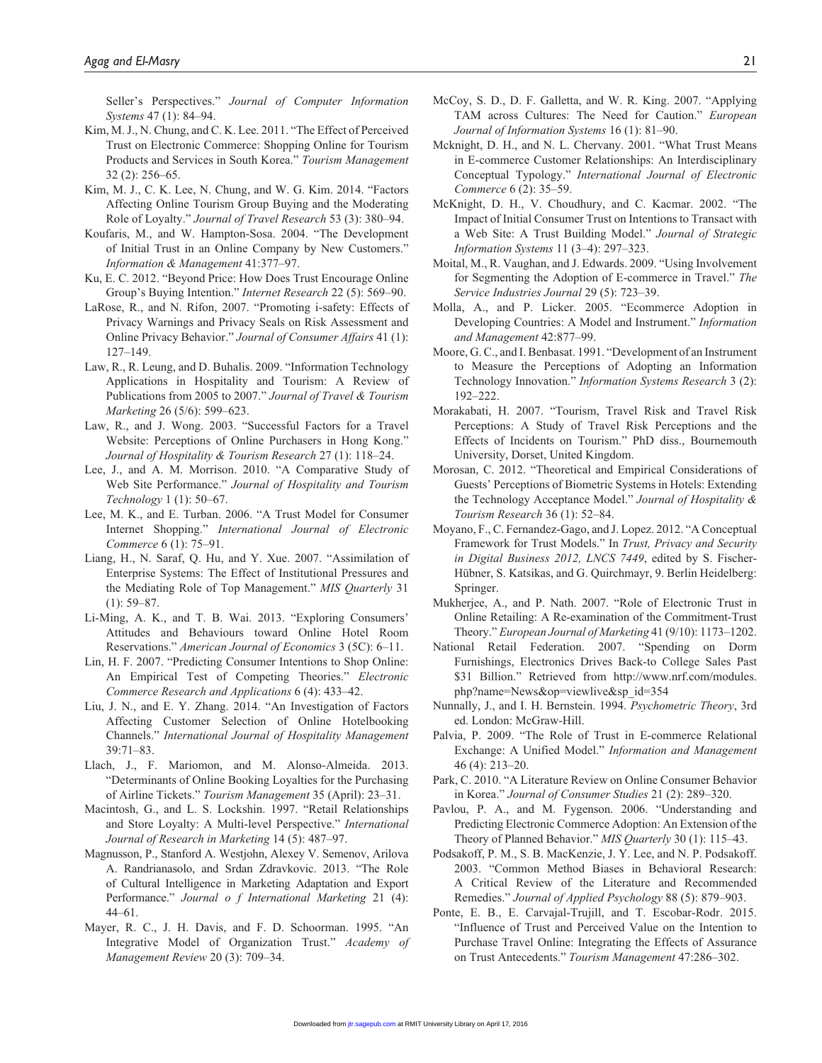Seller's Perspectives." *Journal of Computer Information Systems* 47 (1): 84–94.

- Kim, M. J., N. Chung, and C. K. Lee. 2011. "The Effect of Perceived Trust on Electronic Commerce: Shopping Online for Tourism Products and Services in South Korea." *Tourism Management* 32 (2): 256–65.
- Kim, M. J., C. K. Lee, N. Chung, and W. G. Kim. 2014. "Factors Affecting Online Tourism Group Buying and the Moderating Role of Loyalty." *Journal of Travel Research* 53 (3): 380–94.
- Koufaris, M., and W. Hampton-Sosa. 2004. "The Development of Initial Trust in an Online Company by New Customers." *Information & Management* 41:377–97.
- Ku, E. C. 2012. "Beyond Price: How Does Trust Encourage Online Group's Buying Intention." *Internet Research* 22 (5): 569–90.
- LaRose, R., and N. Rifon, 2007. "Promoting i-safety: Effects of Privacy Warnings and Privacy Seals on Risk Assessment and Online Privacy Behavior." *Journal of Consumer Affairs* 41 (1): 127–149.
- Law, R., R. Leung, and D. Buhalis. 2009. "Information Technology Applications in Hospitality and Tourism: A Review of Publications from 2005 to 2007." *Journal of Travel & Tourism Marketing* 26 (5/6): 599–623.
- Law, R., and J. Wong. 2003. "Successful Factors for a Travel Website: Perceptions of Online Purchasers in Hong Kong." *Journal of Hospitality & Tourism Research* 27 (1): 118–24.
- Lee, J., and A. M. Morrison. 2010. "A Comparative Study of Web Site Performance." *Journal of Hospitality and Tourism Technology* 1 (1): 50–67.
- Lee, M. K., and E. Turban. 2006. "A Trust Model for Consumer Internet Shopping." *International Journal of Electronic Commerce* 6 (1): 75–91.
- Liang, H., N. Saraf, Q. Hu, and Y. Xue. 2007. "Assimilation of Enterprise Systems: The Effect of Institutional Pressures and the Mediating Role of Top Management." *MIS Quarterly* 31  $(1): 59-87.$
- Li-Ming, A. K., and T. B. Wai. 2013. "Exploring Consumers' Attitudes and Behaviours toward Online Hotel Room Reservations." *American Journal of Economics* 3 (5C): 6–11.
- Lin, H. F. 2007. "Predicting Consumer Intentions to Shop Online: An Empirical Test of Competing Theories." *Electronic Commerce Research and Applications* 6 (4): 433–42.
- Liu, J. N., and E. Y. Zhang. 2014. "An Investigation of Factors Affecting Customer Selection of Online Hotelbooking Channels." *International Journal of Hospitality Management* 39:71–83.
- Llach, J., F. Mariomon, and M. Alonso-Almeida. 2013. "Determinants of Online Booking Loyalties for the Purchasing of Airline Tickets." *Tourism Management* 35 (April): 23–31.
- Macintosh, G., and L. S. Lockshin. 1997. "Retail Relationships and Store Loyalty: A Multi-level Perspective." *International Journal of Research in Marketing* 14 (5): 487–97.
- Magnusson, P., Stanford A. Westjohn, Alexey V. Semenov, Arilova A. Randrianasolo, and Srdan Zdravkovic. 2013. "The Role of Cultural Intelligence in Marketing Adaptation and Export Performance." *Journal o f International Marketing* 21 (4): 44–61.
- Mayer, R. C., J. H. Davis, and F. D. Schoorman. 1995. "An Integrative Model of Organization Trust." *Academy of Management Review* 20 (3): 709–34.
- McCoy, S. D., D. F. Galletta, and W. R. King. 2007. "Applying TAM across Cultures: The Need for Caution." *European Journal of Information Systems* 16 (1): 81–90.
- Mcknight, D. H., and N. L. Chervany. 2001. "What Trust Means in E-commerce Customer Relationships: An Interdisciplinary Conceptual Typology." *International Journal of Electronic Commerce* 6 (2): 35–59.
- McKnight, D. H., V. Choudhury, and C. Kacmar. 2002. "The Impact of Initial Consumer Trust on Intentions to Transact with a Web Site: A Trust Building Model." *Journal of Strategic Information Systems* 11 (3–4): 297–323.
- Moital, M., R. Vaughan, and J. Edwards. 2009. "Using Involvement for Segmenting the Adoption of E-commerce in Travel." *The Service Industries Journal* 29 (5): 723–39.
- Molla, A., and P. Licker. 2005. "Ecommerce Adoption in Developing Countries: A Model and Instrument." *Information and Management* 42:877–99.
- Moore, G. C., and I. Benbasat. 1991. "Development of an Instrument to Measure the Perceptions of Adopting an Information Technology Innovation." *Information Systems Research* 3 (2): 192–222.
- Morakabati, H. 2007. "Tourism, Travel Risk and Travel Risk Perceptions: A Study of Travel Risk Perceptions and the Effects of Incidents on Tourism." PhD diss., Bournemouth University, Dorset, United Kingdom.
- Morosan, C. 2012. "Theoretical and Empirical Considerations of Guests' Perceptions of Biometric Systems in Hotels: Extending the Technology Acceptance Model." *Journal of Hospitality & Tourism Research* 36 (1): 52–84.
- Moyano, F., C. Fernandez-Gago, and J. Lopez. 2012. "A Conceptual Framework for Trust Models." In *Trust, Privacy and Security in Digital Business 2012, LNCS 7449*, edited by S. Fischer-Hübner, S. Katsikas, and G. Quirchmayr, 9. Berlin Heidelberg: Springer.
- Mukherjee, A., and P. Nath. 2007. "Role of Electronic Trust in Online Retailing: A Re-examination of the Commitment-Trust Theory." *European Journal of Marketing* 41 (9/10): 1173–1202.
- National Retail Federation. 2007. "Spending on Dorm Furnishings, Electronics Drives Back-to College Sales Past \$31 Billion." Retrieved from http://www.nrf.com/modules. php?name=News&op=viewlive&sp\_id=354
- Nunnally, J., and I. H. Bernstein. 1994. *Psychometric Theory*, 3rd ed. London: McGraw-Hill.
- Palvia, P. 2009. "The Role of Trust in E-commerce Relational Exchange: A Unified Model." *Information and Management* 46 (4): 213–20.
- Park, C. 2010. "A Literature Review on Online Consumer Behavior in Korea." *Journal of Consumer Studies* 21 (2): 289–320.
- Pavlou, P. A., and M. Fygenson. 2006. "Understanding and Predicting Electronic Commerce Adoption: An Extension of the Theory of Planned Behavior." *MIS Quarterly* 30 (1): 115–43.
- Podsakoff, P. M., S. B. MacKenzie, J. Y. Lee, and N. P. Podsakoff. 2003. "Common Method Biases in Behavioral Research: A Critical Review of the Literature and Recommended Remedies." *Journal of Applied Psychology* 88 (5): 879–903.
- Ponte, E. B., E. Carvajal-Trujill, and T. Escobar-Rodr. 2015. "Influence of Trust and Perceived Value on the Intention to Purchase Travel Online: Integrating the Effects of Assurance on Trust Antecedents." *Tourism Management* 47:286–302.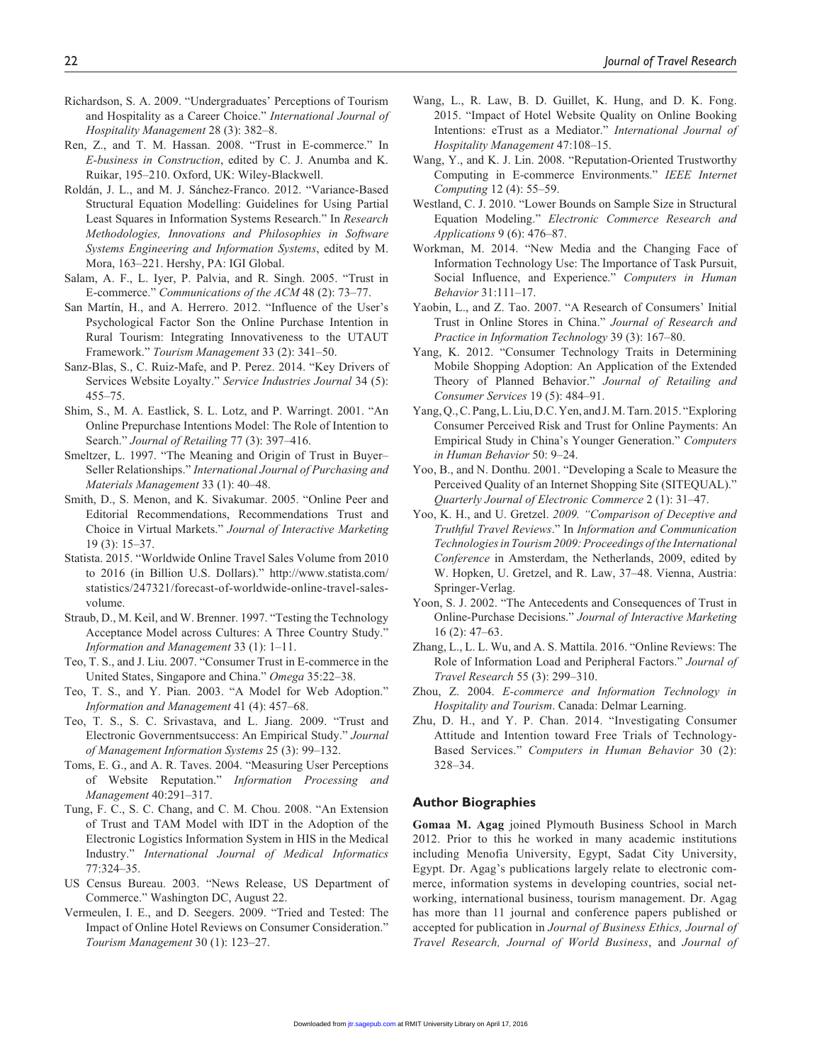- Richardson, S. A. 2009. "Undergraduates' Perceptions of Tourism and Hospitality as a Career Choice." *International Journal of Hospitality Management* 28 (3): 382–8.
- Ren, Z., and T. M. Hassan. 2008. "Trust in E-commerce." In *E-business in Construction*, edited by C. J. Anumba and K. Ruikar, 195–210. Oxford, UK: Wiley-Blackwell.
- Roldán, J. L., and M. J. Sánchez-Franco. 2012. "Variance-Based Structural Equation Modelling: Guidelines for Using Partial Least Squares in Information Systems Research." In *Research Methodologies, Innovations and Philosophies in Software Systems Engineering and Information Systems*, edited by M. Mora, 163–221. Hershy, PA: IGI Global.
- Salam, A. F., L. Iyer, P. Palvia, and R. Singh. 2005. "Trust in E-commerce." *Communications of the ACM* 48 (2): 73–77.
- San Martín, H., and A. Herrero. 2012. "Influence of the User's Psychological Factor Son the Online Purchase Intention in Rural Tourism: Integrating Innovativeness to the UTAUT Framework." *Tourism Management* 33 (2): 341–50.
- Sanz-Blas, S., C. Ruiz-Mafe, and P. Perez. 2014. "Key Drivers of Services Website Loyalty." *Service Industries Journal* 34 (5): 455–75.
- Shim, S., M. A. Eastlick, S. L. Lotz, and P. Warringt. 2001. "An Online Prepurchase Intentions Model: The Role of Intention to Search." *Journal of Retailing* 77 (3): 397–416.
- Smeltzer, L. 1997. "The Meaning and Origin of Trust in Buyer– Seller Relationships." *International Journal of Purchasing and Materials Management* 33 (1): 40–48.
- Smith, D., S. Menon, and K. Sivakumar. 2005. "Online Peer and Editorial Recommendations, Recommendations Trust and Choice in Virtual Markets." *Journal of Interactive Marketing* 19 (3): 15–37.
- Statista. 2015. "Worldwide Online Travel Sales Volume from 2010 to 2016 (in Billion U.S. Dollars)." http://www.statista.com/ statistics/247321/forecast-of-worldwide-online-travel-salesvolume.
- Straub, D., M. Keil, and W. Brenner. 1997. "Testing the Technology Acceptance Model across Cultures: A Three Country Study." *Information and Management* 33 (1): 1–11.
- Teo, T. S., and J. Liu. 2007. "Consumer Trust in E-commerce in the United States, Singapore and China." *Omega* 35:22–38.
- Teo, T. S., and Y. Pian. 2003. "A Model for Web Adoption." *Information and Management* 41 (4): 457–68.
- Teo, T. S., S. C. Srivastava, and L. Jiang. 2009. "Trust and Electronic Governmentsuccess: An Empirical Study." *Journal of Management Information Systems* 25 (3): 99–132.
- Toms, E. G., and A. R. Taves. 2004. "Measuring User Perceptions of Website Reputation." *Information Processing and Management* 40:291–317.
- Tung, F. C., S. C. Chang, and C. M. Chou. 2008. "An Extension of Trust and TAM Model with IDT in the Adoption of the Electronic Logistics Information System in HIS in the Medical Industry." *International Journal of Medical Informatics* 77:324–35.
- US Census Bureau. 2003. "News Release, US Department of Commerce." Washington DC, August 22.
- Vermeulen, I. E., and D. Seegers. 2009. "Tried and Tested: The Impact of Online Hotel Reviews on Consumer Consideration." *Tourism Management* 30 (1): 123–27.
- Wang, L., R. Law, B. D. Guillet, K. Hung, and D. K. Fong. 2015. "Impact of Hotel Website Quality on Online Booking Intentions: eTrust as a Mediator." *International Journal of Hospitality Management* 47:108–15.
- Wang, Y., and K. J. Lin. 2008. "Reputation-Oriented Trustworthy Computing in E-commerce Environments." *IEEE Internet Computing* 12 (4): 55–59.
- Westland, C. J. 2010. "Lower Bounds on Sample Size in Structural Equation Modeling." *Electronic Commerce Research and Applications* 9 (6): 476–87.
- Workman, M. 2014. "New Media and the Changing Face of Information Technology Use: The Importance of Task Pursuit, Social Influence, and Experience." *Computers in Human Behavior* 31:111–17.
- Yaobin, L., and Z. Tao. 2007. "A Research of Consumers' Initial Trust in Online Stores in China." *Journal of Research and Practice in Information Technology* 39 (3): 167–80.
- Yang, K. 2012. "Consumer Technology Traits in Determining Mobile Shopping Adoption: An Application of the Extended Theory of Planned Behavior." *Journal of Retailing and Consumer Services* 19 (5): 484–91.
- Yang, Q., C. Pang, L. Liu, D.C. Yen, and J. M. Tarn. 2015. "Exploring Consumer Perceived Risk and Trust for Online Payments: An Empirical Study in China's Younger Generation." *Computers in Human Behavior* 50: 9–24.
- Yoo, B., and N. Donthu. 2001. "Developing a Scale to Measure the Perceived Quality of an Internet Shopping Site (SITEQUAL)." *Quarterly Journal of Electronic Commerce* 2 (1): 31–47.
- Yoo, K. H., and U. Gretzel. *2009. "Comparison of Deceptive and Truthful Travel Reviews*." In *Information and Communication Technologies in Tourism 2009: Proceedings of the International Conference* in Amsterdam, the Netherlands, 2009, edited by W. Hopken, U. Gretzel, and R. Law, 37–48. Vienna, Austria: Springer-Verlag.
- Yoon, S. J. 2002. "The Antecedents and Consequences of Trust in Online-Purchase Decisions." *Journal of Interactive Marketing* 16 (2): 47–63.
- Zhang, L., L. L. Wu, and A. S. Mattila. 2016. "Online Reviews: The Role of Information Load and Peripheral Factors." *Journal of Travel Research* 55 (3): 299–310.
- Zhou, Z. 2004. *E-commerce and Information Technology in Hospitality and Tourism*. Canada: Delmar Learning.
- Zhu, D. H., and Y. P. Chan. 2014. "Investigating Consumer Attitude and Intention toward Free Trials of Technology-Based Services." *Computers in Human Behavior* 30 (2): 328–34.

#### **Author Biographies**

**Gomaa M. Agag** joined Plymouth Business School in March 2012. Prior to this he worked in many academic institutions including Menofia University, Egypt, Sadat City University, Egypt. Dr. Agag's publications largely relate to electronic commerce, information systems in developing countries, social networking, international business, tourism management. Dr. Agag has more than 11 journal and conference papers published or accepted for publication in *Journal of Business Ethics, Journal of Travel Research, Journal of World Business*, and *Journal of*